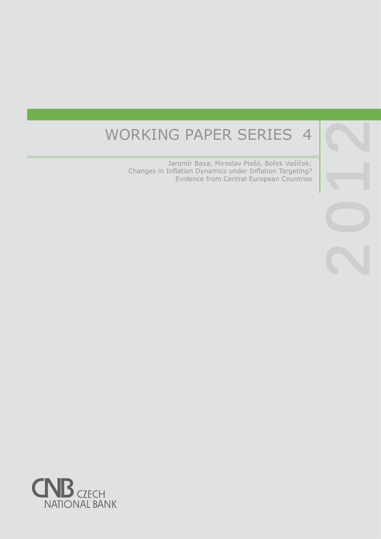# WORKING PAPER SERIES 4

 Jaromír Baxa, Miroslav Plašil, Bořek Vašíček: Changes in Inflation Dynamics under Inflation Targeting? Evidence from Central European Countries

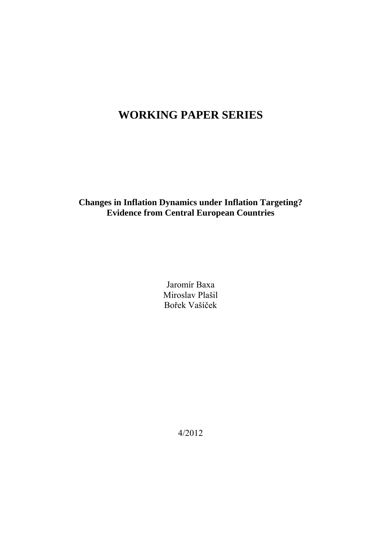# **WORKING PAPER SERIES**

**Changes in Inflation Dynamics under Inflation Targeting? Evidence from Central European Countries** 

> Jaromír Baxa Miroslav Plašil Bořek Vašíček

> > 4/2012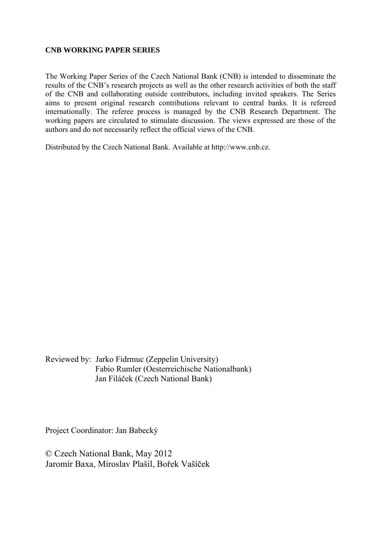#### **CNB WORKING PAPER SERIES**

The Working Paper Series of the Czech National Bank (CNB) is intended to disseminate the results of the CNB's research projects as well as the other research activities of both the staff of the CNB and collaborating outside contributors, including invited speakers. The Series aims to present original research contributions relevant to central banks. It is refereed internationally. The referee process is managed by the CNB Research Department. The working papers are circulated to stimulate discussion. The views expressed are those of the authors and do not necessarily reflect the official views of the CNB.

Distributed by the Czech National Bank. Available at http://www.cnb.cz.

Reviewed by: Jarko Fidrmuc (Zeppelin University) Fabio Rumler (Oesterreichische Nationalbank) Jan Filáček (Czech National Bank)

Project Coordinator: Jan Babecký

© Czech National Bank, May 2012 Jaromír Baxa, Miroslav Plašil, Bořek Vašíček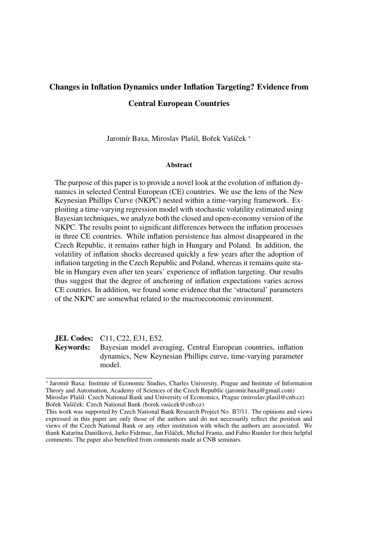# Changes in Inflation Dynamics under Inflation Targeting? Evidence from Central European Countries

Jaromír Baxa, Miroslav Plašil, Bořek Vašíček \*

#### Abstract

The purpose of this paper is to provide a novel look at the evolution of inflation dynamics in selected Central European (CE) countries. We use the lens of the New Keynesian Phillips Curve (NKPC) nested within a time-varying framework. Exploiting a time-varying regression model with stochastic volatility estimated using Bayesian techniques, we analyze both the closed and open-economy version of the NKPC. The results point to significant differences between the inflation processes in three CE countries. While inflation persistence has almost disappeared in the Czech Republic, it remains rather high in Hungary and Poland. In addition, the volatility of inflation shocks decreased quickly a few years after the adoption of inflation targeting in the Czech Republic and Poland, whereas it remains quite stable in Hungary even after ten years' experience of inflation targeting. Our results thus suggest that the degree of anchoring of inflation expectations varies across CE coutries. In addition, we found some evidence that the 'structural' parameters of the NKPC are somewhat related to the macroeconomic environment.

**JEL Codes:** C11, C22, E31, E52. Keywords: Bayesian model averaging, Central European countries, inflation dynamics, New Keynesian Phillips curve, time-varying parameter model.

<sup>∗</sup> Jarom´ır Baxa: Institute of Economic Studies, Charles University, Prague and Institute of Information Theory and Automation, Academy of Sciences of the Czech Republic (jaromir.baxa@gmail.com) Miroslav Plašil: Czech National Bank and University of Economics, Prague (miroslav.plasil@cnb.cz) Bořek Vašíček: Czech National Bank (borek.vasicek@cnb.cz)

This work was supported by Czech National Bank Research Project No. B7/11. The opinions and views expressed in this paper are only those of the authors and do not necessarily reflect the position and views of the Czech National Bank or any other institution with which the authors are associated. We thank Katarína Danišková, Jarko Fidrmuc, Jan Filáček, Michal Franta, and Fabio Rumler for their helpful comments. The paper also benefited from comments made at CNB seminars.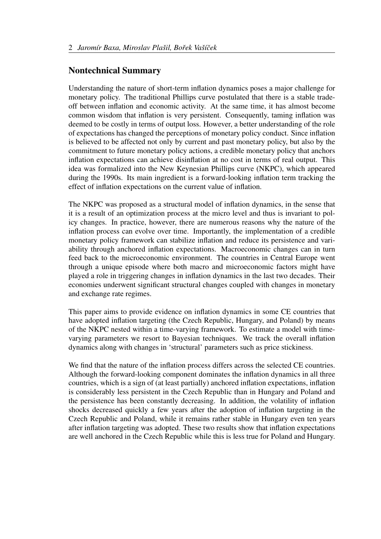# Nontechnical Summary

Understanding the nature of short-term inflation dynamics poses a major challenge for monetary policy. The traditional Phillips curve postulated that there is a stable tradeoff between inflation and economic activity. At the same time, it has almost become common wisdom that inflation is very persistent. Consequently, taming inflation was deemed to be costly in terms of output loss. However, a better understanding of the role of expectations has changed the perceptions of monetary policy conduct. Since inflation is believed to be affected not only by current and past monetary policy, but also by the commitment to future monetary policy actions, a credible monetary policy that anchors inflation expectations can achieve disinflation at no cost in terms of real output. This idea was formalized into the New Keynesian Phillips curve (NKPC), which appeared during the 1990s. Its main ingredient is a forward-looking inflation term tracking the effect of inflation expectations on the current value of inflation.

The NKPC was proposed as a structural model of inflation dynamics, in the sense that it is a result of an optimization process at the micro level and thus is invariant to policy changes. In practice, however, there are numerous reasons why the nature of the inflation process can evolve over time. Importantly, the implementation of a credible monetary policy framework can stabilize inflation and reduce its persistence and variability through anchored inflation expectations. Macroeconomic changes can in turn feed back to the microeconomic environment. The countries in Central Europe went through a unique episode where both macro and microeconomic factors might have played a role in triggering changes in inflation dynamics in the last two decades. Their economies underwent significant structural changes coupled with changes in monetary and exchange rate regimes.

This paper aims to provide evidence on inflation dynamics in some CE countries that have adopted inflation targeting (the Czech Republic, Hungary, and Poland) by means of the NKPC nested within a time-varying framework. To estimate a model with timevarying parameters we resort to Bayesian techniques. We track the overall inflation dynamics along with changes in 'structural' parameters such as price stickiness.

We find that the nature of the inflation process differs across the selected CE countries. Although the forward-looking component dominates the inflation dynamics in all three countries, which is a sign of (at least partially) anchored inflation expectations, inflation is considerably less persistent in the Czech Republic than in Hungary and Poland and the persistence has been constantly decreasing. In addition, the volatility of inflation shocks decreased quickly a few years after the adoption of inflation targeting in the Czech Republic and Poland, while it remains rather stable in Hungary even ten years after inflation targeting was adopted. These two results show that inflation expectations are well anchored in the Czech Republic while this is less true for Poland and Hungary.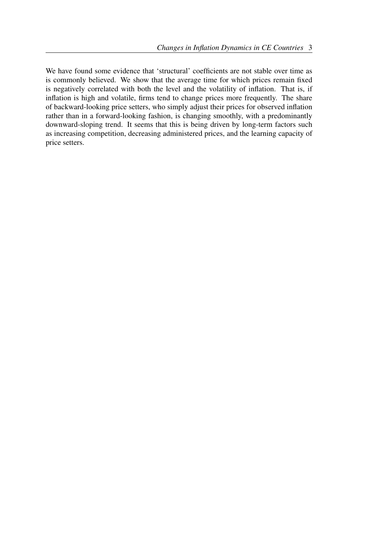We have found some evidence that 'structural' coefficients are not stable over time as is commonly believed. We show that the average time for which prices remain fixed is negatively correlated with both the level and the volatility of inflation. That is, if inflation is high and volatile, firms tend to change prices more frequently. The share of backward-looking price setters, who simply adjust their prices for observed inflation rather than in a forward-looking fashion, is changing smoothly, with a predominantly downward-sloping trend. It seems that this is being driven by long-term factors such as increasing competition, decreasing administered prices, and the learning capacity of price setters.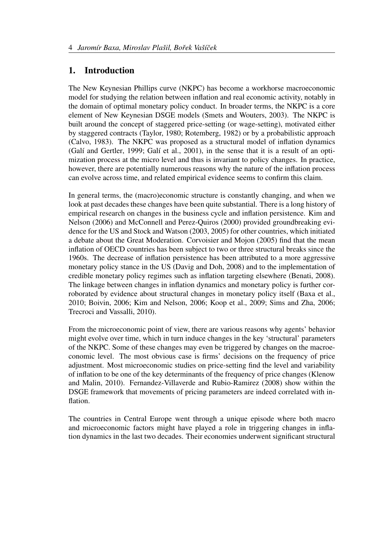# 1. Introduction

The New Keynesian Phillips curve (NKPC) has become a workhorse macroeconomic model for studying the relation between inflation and real economic activity, notably in the domain of optimal monetary policy conduct. In broader terms, the NKPC is a core element of New Keynesian DSGE models (Smets and Wouters, 2003). The NKPC is built around the concept of staggered price-setting (or wage-setting), motivated either by staggered contracts (Taylor, 1980; Rotemberg, 1982) or by a probabilistic approach (Calvo, 1983). The NKPC was proposed as a structural model of inflation dynamics (Galí and Gertler, 1999; Galí et al., 2001), in the sense that it is a result of an optimization process at the micro level and thus is invariant to policy changes. In practice, however, there are potentially numerous reasons why the nature of the inflation process can evolve across time, and related empirical evidence seems to confirm this claim.

In general terms, the (macro)economic structure is constantly changing, and when we look at past decades these changes have been quite substantial. There is a long history of empirical research on changes in the business cycle and inflation persistence. Kim and Nelson (2006) and McConnell and Perez-Quiros (2000) provided groundbreaking evidence for the US and Stock and Watson (2003, 2005) for other countries, which initiated a debate about the Great Moderation. Corvoisier and Mojon (2005) find that the mean inflation of OECD countries has been subject to two or three structural breaks since the 1960s. The decrease of inflation persistence has been attributed to a more aggressive monetary policy stance in the US (Davig and Doh, 2008) and to the implementation of credible monetary policy regimes such as inflation targeting elsewhere (Benati, 2008). The linkage between changes in inflation dynamics and monetary policy is further corroborated by evidence about structural changes in monetary policy itself (Baxa et al., 2010; Boivin, 2006; Kim and Nelson, 2006; Koop et al., 2009; Sims and Zha, 2006; Trecroci and Vassalli, 2010).

From the microeconomic point of view, there are various reasons why agents' behavior might evolve over time, which in turn induce changes in the key 'structural' parameters of the NKPC. Some of these changes may even be triggered by changes on the macroeconomic level. The most obvious case is firms' decisions on the frequency of price adjustment. Most microeconomic studies on price-setting find the level and variability of inflation to be one of the key determinants of the frequency of price changes (Klenow and Malin, 2010). Fernandez-Villaverde and Rubio-Ramirez (2008) show within the DSGE framework that movements of pricing parameters are indeed correlated with inflation.

The countries in Central Europe went through a unique episode where both macro and microeconomic factors might have played a role in triggering changes in inflation dynamics in the last two decades. Their economies underwent significant structural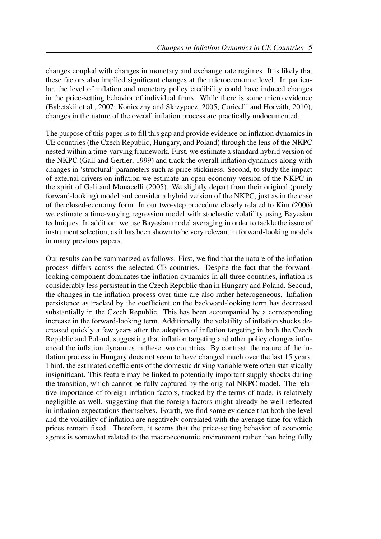changes coupled with changes in monetary and exchange rate regimes. It is likely that these factors also implied significant changes at the microeconomic level. In particular, the level of inflation and monetary policy credibility could have induced changes in the price-setting behavior of individual firms. While there is some micro evidence (Babetskii et al., 2007; Konieczny and Skrzypacz, 2005; Coricelli and Horváth, 2010), changes in the nature of the overall inflation process are practically undocumented.

The purpose of this paper is to fill this gap and provide evidence on inflation dynamics in CE countries (the Czech Republic, Hungary, and Poland) through the lens of the NKPC nested within a time-varying framework. First, we estimate a standard hybrid version of the NKPC (Galí and Gertler, 1999) and track the overall inflation dynamics along with changes in 'structural' parameters such as price stickiness. Second, to study the impact of external drivers on inflation we estimate an open-economy version of the NKPC in the spirit of Galí and Monacelli (2005). We slightly depart from their original (purely forward-looking) model and consider a hybrid version of the NKPC, just as in the case of the closed-economy form. In our two-step procedure closely related to Kim (2006) we estimate a time-varying regression model with stochastic volatility using Bayesian techniques. In addition, we use Bayesian model averaging in order to tackle the issue of instrument selection, as it has been shown to be very relevant in forward-looking models in many previous papers.

Our results can be summarized as follows. First, we find that the nature of the inflation process differs across the selected CE countries. Despite the fact that the forwardlooking component dominates the inflation dynamics in all three countries, inflation is considerably less persistent in the Czech Republic than in Hungary and Poland. Second, the changes in the inflation process over time are also rather heterogeneous. Inflation persistence as tracked by the coefficient on the backward-looking term has decreased substantially in the Czech Republic. This has been accompanied by a corresponding increase in the forward-looking term. Additionally, the volatility of inflation shocks decreased quickly a few years after the adoption of inflation targeting in both the Czech Republic and Poland, suggesting that inflation targeting and other policy changes influenced the inflation dynamics in these two countries. By contrast, the nature of the inflation process in Hungary does not seem to have changed much over the last 15 years. Third, the estimated coefficients of the domestic driving variable were often statistically insignificant. This feature may be linked to potentially important supply shocks during the transition, which cannot be fully captured by the original NKPC model. The relative importance of foreign inflation factors, tracked by the terms of trade, is relatively negligible as well, suggesting that the foreign factors might already be well reflected in inflation expectations themselves. Fourth, we find some evidence that both the level and the volatility of inflation are negatively correlated with the average time for which prices remain fixed. Therefore, it seems that the price-setting behavior of economic agents is somewhat related to the macroeconomic environment rather than being fully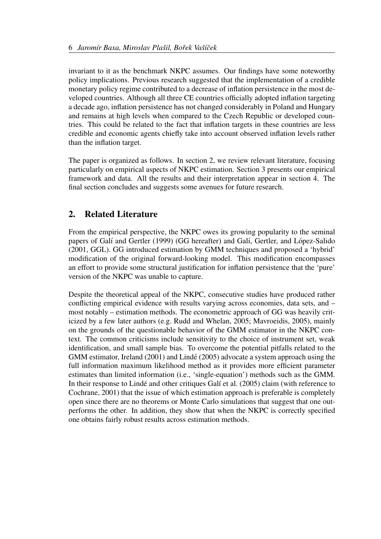invariant to it as the benchmark NKPC assumes. Our findings have some noteworthy policy implications. Previous research suggested that the implementation of a credible monetary policy regime contributed to a decrease of inflation persistence in the most developed countries. Although all three CE countries officially adopted inflation targeting a decade ago, inflation persistence has not changed considerably in Poland and Hungary and remains at high levels when compared to the Czech Republic or developed countries. This could be related to the fact that inflation targets in these countries are less credible and economic agents chiefly take into account observed inflation levels rather than the inflation target.

The paper is organized as follows. In section 2, we review relevant literature, focusing particularly on empirical aspects of NKPC estimation. Section 3 presents our empirical framework and data. All the results and their interpretation appear in section 4. The final section concludes and suggests some avenues for future research.

# 2. Related Literature

From the empirical perspective, the NKPC owes its growing popularity to the seminal papers of Galí and Gertler (1999) (GG hereafter) and Galí, Gertler, and López-Salido (2001, GGL). GG introduced estimation by GMM techniques and proposed a 'hybrid' modification of the original forward-looking model. This modification encompasses an effort to provide some structural justification for inflation persistence that the 'pure' version of the NKPC was unable to capture.

Despite the theoretical appeal of the NKPC, consecutive studies have produced rather conflicting empirical evidence with results varying across economies, data sets, and – most notably – estimation methods. The econometric approach of GG was heavily criticized by a few later authors (e.g. Rudd and Whelan, 2005; Mavroeidis, 2005), mainly on the grounds of the questionable behavior of the GMM estimator in the NKPC context. The common criticisms include sensitivity to the choice of instrument set, weak identification, and small sample bias. To overcome the potential pitfalls related to the GMM estimator, Ireland (2001) and Lindé (2005) advocate a system approach using the full information maximum likelihood method as it provides more efficient parameter estimates than limited information (i.e., 'single-equation') methods such as the GMM. In their response to Lindé and other critiques Galí et al. (2005) claim (with reference to Cochrane, 2001) that the issue of which estimation approach is preferable is completely open since there are no theorems or Monte Carlo simulations that suggest that one outperforms the other. In addition, they show that when the NKPC is correctly specified one obtains fairly robust results across estimation methods.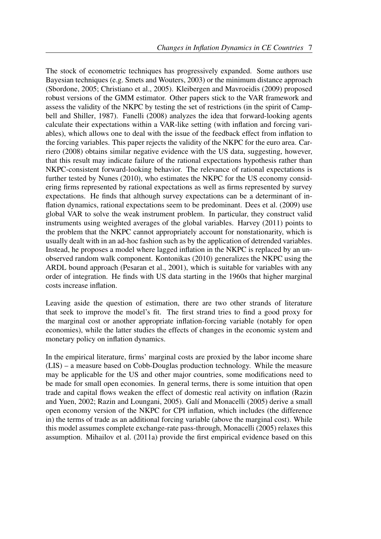The stock of econometric techniques has progressively expanded. Some authors use Bayesian techniques (e.g. Smets and Wouters, 2003) or the minimum distance approach (Sbordone, 2005; Christiano et al., 2005). Kleibergen and Mavroeidis (2009) proposed robust versions of the GMM estimator. Other papers stick to the VAR framework and assess the validity of the NKPC by testing the set of restrictions (in the spirit of Campbell and Shiller, 1987). Fanelli (2008) analyzes the idea that forward-looking agents calculate their expectations within a VAR-like setting (with inflation and forcing variables), which allows one to deal with the issue of the feedback effect from inflation to the forcing variables. This paper rejects the validity of the NKPC for the euro area. Carriero (2008) obtains similar negative evidence with the US data, suggesting, however, that this result may indicate failure of the rational expectations hypothesis rather than NKPC-consistent forward-looking behavior. The relevance of rational expectations is further tested by Nunes (2010), who estimates the NKPC for the US economy considering firms represented by rational expectations as well as firms represented by survey expectations. He finds that although survey expectations can be a determinant of inflation dynamics, rational expectations seem to be predominant. Dees et al. (2009) use global VAR to solve the weak instrument problem. In particular, they construct valid instruments using weighted averages of the global variables. Harvey (2011) points to the problem that the NKPC cannot appropriately account for nonstationarity, which is usually dealt with in an ad-hoc fashion such as by the application of detrended variables. Instead, he proposes a model where lagged inflation in the NKPC is replaced by an unobserved random walk component. Kontonikas (2010) generalizes the NKPC using the ARDL bound approach (Pesaran et al., 2001), which is suitable for variables with any order of integration. He finds with US data starting in the 1960s that higher marginal costs increase inflation.

Leaving aside the question of estimation, there are two other strands of literature that seek to improve the model's fit. The first strand tries to find a good proxy for the marginal cost or another appropriate inflation-forcing variable (notably for open economies), while the latter studies the effects of changes in the economic system and monetary policy on inflation dynamics.

In the empirical literature, firms' marginal costs are proxied by the labor income share (LIS) – a measure based on Cobb-Douglas production technology. While the measure may be applicable for the US and other major countries, some modifications need to be made for small open economies. In general terms, there is some intuition that open trade and capital flows weaken the effect of domestic real activity on inflation (Razin and Yuen, 2002; Razin and Loungani, 2005). Galí and Monacelli (2005) derive a small open economy version of the NKPC for CPI inflation, which includes (the difference in) the terms of trade as an additional forcing variable (above the marginal cost). While this model assumes complete exchange-rate pass-through, Monacelli (2005) relaxes this assumption. Mihailov et al. (2011a) provide the first empirical evidence based on this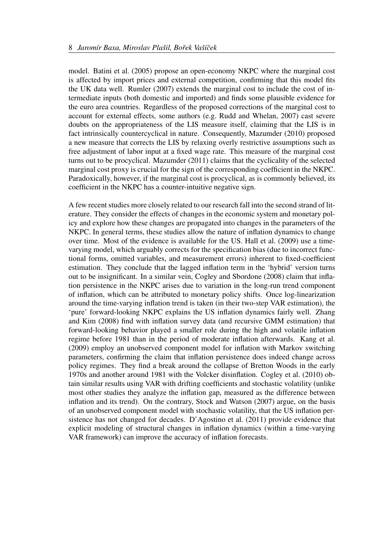model. Batini et al. (2005) propose an open-economy NKPC where the marginal cost is affected by import prices and external competition, confirming that this model fits the UK data well. Rumler (2007) extends the marginal cost to include the cost of intermediate inputs (both domestic and imported) and finds some plausible evidence for the euro area countries. Regardless of the proposed corrections of the marginal cost to account for external effects, some authors (e.g. Rudd and Whelan, 2007) cast severe doubts on the appropriateness of the LIS measure itself, claiming that the LIS is in fact intrinsically countercyclical in nature. Consequently, Mazumder (2010) proposed a new measure that corrects the LIS by relaxing overly restrictive assumptions such as free adjustment of labor input at a fixed wage rate. This measure of the marginal cost turns out to be procyclical. Mazumder (2011) claims that the cyclicality of the selected marginal cost proxy is crucial for the sign of the corresponding coefficient in the NKPC. Paradoxically, however, if the marginal cost is procyclical, as is commonly believed, its coefficient in the NKPC has a counter-intuitive negative sign.

A few recent studies more closely related to our research fall into the second strand of literature. They consider the effects of changes in the economic system and monetary policy and explore how these changes are propagated into changes in the parameters of the NKPC. In general terms, these studies allow the nature of inflation dynamics to change over time. Most of the evidence is available for the US. Hall et al. (2009) use a timevarying model, which arguably corrects for the specification bias (due to incorrect functional forms, omitted variables, and measurement errors) inherent to fixed-coefficient estimation. They conclude that the lagged inflation term in the 'hybrid' version turns out to be insignificant. In a similar vein, Cogley and Sbordone (2008) claim that inflation persistence in the NKPC arises due to variation in the long-run trend component of inflation, which can be attributed to monetary policy shifts. Once log-linearization around the time-varying inflation trend is taken (in their two-step VAR estimation), the 'pure' forward-looking NKPC explains the US inflation dynamics fairly well. Zhang and Kim (2008) find with inflation survey data (and recursive GMM estimation) that forward-looking behavior played a smaller role during the high and volatile inflation regime before 1981 than in the period of moderate inflation afterwards. Kang et al. (2009) employ an unobserved component model for inflation with Markov switching parameters, confirming the claim that inflation persistence does indeed change across policy regimes. They find a break around the collapse of Bretton Woods in the early 1970s and another around 1981 with the Volcker disinflation. Cogley et al. (2010) obtain similar results using VAR with drifting coefficients and stochastic volatility (unlike most other studies they analyze the inflation gap, measured as the difference between inflation and its trend). On the contrary, Stock and Watson (2007) argue, on the basis of an unobserved component model with stochastic volatility, that the US inflation persistence has not changed for decades. D'Agostino et al. (2011) provide evidence that explicit modeling of structural changes in inflation dynamics (within a time-varying VAR framework) can improve the accuracy of inflation forecasts.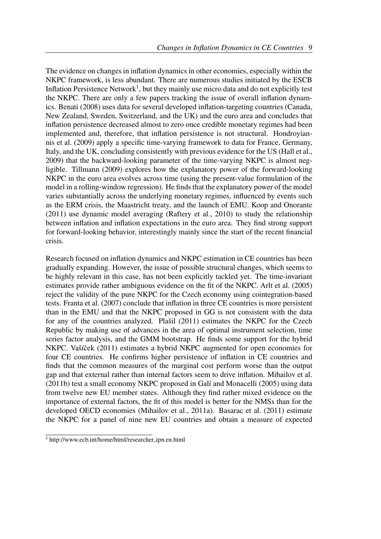The evidence on changes in inflation dynamics in other economies, especially within the NKPC framework, is less abundant. There are numerous studies initiated by the ESCB Inflation Persistence Network<sup>1</sup>, but they mainly use micro data and do not explicitly test the NKPC. There are only a few papers tracking the issue of overall inflation dynamics. Benati (2008) uses data for several developed inflation-targeting countries (Canada, New Zealand, Sweden, Switzerland, and the UK) and the euro area and concludes that inflation persistence decreased almost to zero once credible monetary regimes had been implemented and, therefore, that inflation persistence is not structural. Hondroyiannis et al. (2009) apply a specific time-varying framework to data for France, Germany, Italy, and the UK, concluding consistently with previous evidence for the US (Hall et al., 2009) that the backward-looking parameter of the time-varying NKPC is almost negligible. Tillmann (2009) explores how the explanatory power of the forward-looking NKPC in the euro area evolves across time (using the present-value formulation of the model in a rolling-window regression). He finds that the explanatory power of the model varies substantially across the underlying monetary regimes, influenced by events such as the ERM crisis, the Maastricht treaty, and the launch of EMU. Koop and Onorante (2011) use dynamic model averaging (Raftery et al., 2010) to study the relationship between inflation and inflation expectations in the euro area. They find strong support for forward-looking behavior, interestingly mainly since the start of the recent financial crisis.

Research focused on inflation dynamics and NKPC estimation in CE countries has been gradually expanding. However, the issue of possible structural changes, which seems to be highly relevant in this case, has not been explicitly tackled yet. The time-invariant estimates provide rather ambiguous evidence on the fit of the NKPC. Arlt et al. (2005) reject the validity of the pure NKPC for the Czech economy using cointegration-based tests. Franta et al. (2007) conclude that inflation in three CE countries is more persistent than in the EMU and that the NKPC proposed in GG is not consistent with the data for any of the countries analyzed. Plašil  $(2011)$  estimates the NKPC for the Czech Republic by making use of advances in the area of optimal instrument selection, time series factor analysis, and the GMM bootstrap. He finds some support for the hybrid NKPC. Vašíček (2011) estimates a hybrid NKPC augmented for open economies for four CE countries. He confirms higher persistence of inflation in CE countries and finds that the common measures of the marginal cost perform worse than the output gap and that external rather than internal factors seem to drive inflation. Mihailov et al.  $(2011b)$  test a small economy NKPC proposed in Galí and Monacelli  $(2005)$  using data from twelve new EU member states. Although they find rather mixed evidence on the importance of external factors, the fit of this model is better for the NMSs than for the developed OECD economies (Mihailov et al., 2011a). Basarac et al. (2011) estimate the NKPC for a panel of nine new EU countries and obtain a measure of expected

<sup>1</sup> http://www.ecb.int/home/html/researcher ipn.en.html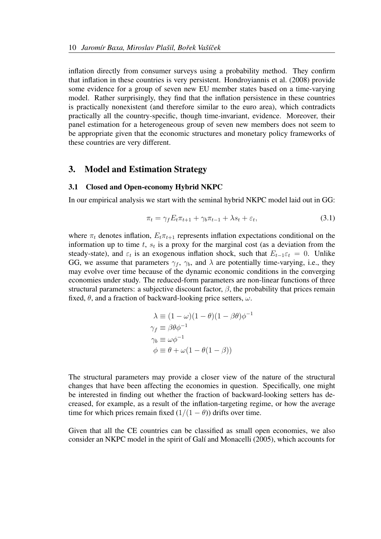inflation directly from consumer surveys using a probability method. They confirm that inflation in these countries is very persistent. Hondroyiannis et al. (2008) provide some evidence for a group of seven new EU member states based on a time-varying model. Rather surprisingly, they find that the inflation persistence in these countries is practically nonexistent (and therefore similar to the euro area), which contradicts practically all the country-specific, though time-invariant, evidence. Moreover, their panel estimation for a heterogeneous group of seven new members does not seem to be appropriate given that the economic structures and monetary policy frameworks of these countries are very different.

#### 3. Model and Estimation Strategy

#### 3.1 Closed and Open-economy Hybrid NKPC

In our empirical analysis we start with the seminal hybrid NKPC model laid out in GG:

$$
\pi_t = \gamma_f E_t \pi_{t+1} + \gamma_b \pi_{t-1} + \lambda s_t + \varepsilon_t, \tag{3.1}
$$

where  $\pi_t$  denotes inflation,  $E_t \pi_{t+1}$  represents inflation expectations conditional on the information up to time  $t$ ,  $s_t$  is a proxy for the marginal cost (as a deviation from the steady-state), and  $\varepsilon_t$  is an exogenous inflation shock, such that  $E_{t-1}\varepsilon_t = 0$ . Unlike GG, we assume that parameters  $\gamma_f$ ,  $\gamma_b$ , and  $\lambda$  are potentially time-varying, i.e., they may evolve over time because of the dynamic economic conditions in the converging economies under study. The reduced-form parameters are non-linear functions of three structural parameters: a subjective discount factor,  $\beta$ , the probability that prices remain fixed,  $\theta$ , and a fraction of backward-looking price setters,  $\omega$ .

$$
\lambda \equiv (1 - \omega)(1 - \theta)(1 - \beta \theta)\phi^{-1}
$$
  
\n
$$
\gamma_f \equiv \beta \theta \phi^{-1}
$$
  
\n
$$
\gamma_b \equiv \omega \phi^{-1}
$$
  
\n
$$
\phi \equiv \theta + \omega(1 - \theta(1 - \beta))
$$

The structural parameters may provide a closer view of the nature of the structural changes that have been affecting the economies in question. Specifically, one might be interested in finding out whether the fraction of backward-looking setters has decreased, for example, as a result of the inflation-targeting regime, or how the average time for which prices remain fixed  $(1/(1 - \theta))$  drifts over time.

Given that all the CE countries can be classified as small open economies, we also consider an NKPC model in the spirit of Galí and Monacelli (2005), which accounts for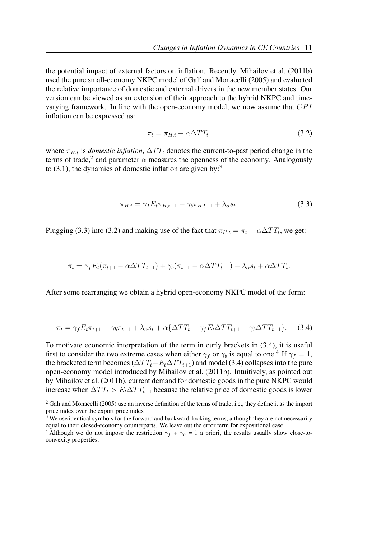the potential impact of external factors on inflation. Recently, Mihailov et al. (2011b) used the pure small-economy NKPC model of Galí and Monacelli (2005) and evaluated the relative importance of domestic and external drivers in the new member states. Our version can be viewed as an extension of their approach to the hybrid NKPC and timevarying framework. In line with the open-economy model, we now assume that  $CPI$ inflation can be expressed as:

$$
\pi_t = \pi_{H,t} + \alpha \Delta TT_t,\tag{3.2}
$$

where  $\pi_{H,t}$  is *domestic inflation*,  $\Delta TT_t$  denotes the current-to-past period change in the terms of trade,<sup>2</sup> and parameter  $\alpha$  measures the openness of the economy. Analogously to  $(3.1)$ , the dynamics of domestic inflation are given by:<sup>3</sup>

$$
\pi_{H,t} = \gamma_f E_t \pi_{H,t+1} + \gamma_b \pi_{H,t-1} + \lambda_\alpha s_t.
$$
\n(3.3)

Plugging (3.3) into (3.2) and making use of the fact that  $\pi_{H,t} = \pi_t - \alpha \Delta TT_t$ , we get:

$$
\pi_t = \gamma_f E_t(\pi_{t+1} - \alpha \Delta TT_{t+1}) + \gamma_b(\pi_{t-1} - \alpha \Delta TT_{t-1}) + \lambda_a s_t + \alpha \Delta TT_t.
$$

After some rearranging we obtain a hybrid open-economy NKPC model of the form:

$$
\pi_t = \gamma_f E_t \pi_{t+1} + \gamma_b \pi_{t-1} + \lambda_\alpha s_t + \alpha \{ \Delta TT_t - \gamma_f E_t \Delta TT_{t+1} - \gamma_b \Delta TT_{t-1} \}.
$$
 (3.4)

To motivate economic interpretation of the term in curly brackets in (3.4), it is useful first to consider the two extreme cases when either  $\gamma_f$  or  $\gamma_b$  is equal to one.<sup>4</sup> If  $\gamma_f = 1$ , the bracketed term becomes ( $\Delta TT_t - E_t \Delta TT_{t+1}$ ) and model (3.4) collapses into the pure open-economy model introduced by Mihailov et al. (2011b). Intuitively, as pointed out by Mihailov et al. (2011b), current demand for domestic goods in the pure NKPC would increase when  $\Delta TT_t > E_t \Delta TT_{t+1}$  because the relative price of domestic goods is lower

 $\overline{^{2}$  Galí and Monacelli (2005) use an inverse definition of the terms of trade, i.e., they define it as the import price index over the export price index

 $3$  We use identical symbols for the forward and backward-looking terms, although they are not necessarily equal to their closed-economy counterparts. We leave out the error term for expositional ease.

<sup>&</sup>lt;sup>4</sup> Although we do not impose the restriction  $\gamma_f + \gamma_b = 1$  a priori, the results usually show close-toconvexity properties.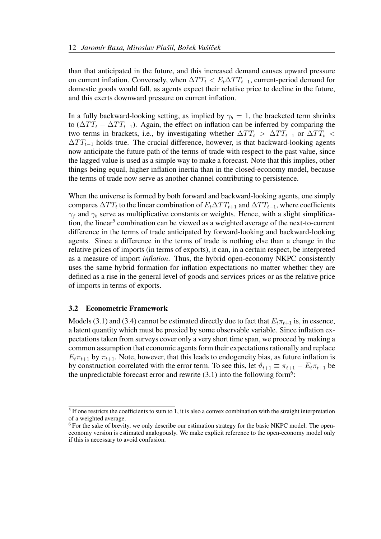than that anticipated in the future, and this increased demand causes upward pressure on current inflation. Conversely, when  $\Delta TT_t < E_t \Delta TT_{t+1}$ , current-period demand for domestic goods would fall, as agents expect their relative price to decline in the future, and this exerts downward pressure on current inflation.

In a fully backward-looking setting, as implied by  $\gamma_b = 1$ , the bracketed term shrinks to ( $\Delta TT_t - \Delta TT_{t-1}$ ). Again, the effect on inflation can be inferred by comparing the two terms in brackets, i.e., by investigating whether  $\Delta TT_t > \Delta TT_{t-1}$  or  $\Delta TT_t <$  $\Delta TT_{t-1}$  holds true. The crucial difference, however, is that backward-looking agents now anticipate the future path of the terms of trade with respect to the past value, since the lagged value is used as a simple way to make a forecast. Note that this implies, other things being equal, higher inflation inertia than in the closed-economy model, because the terms of trade now serve as another channel contributing to persistence.

When the universe is formed by both forward and backward-looking agents, one simply compares  $\Delta TT_t$  to the linear combination of  $E_t \Delta TT_{t+1}$  and  $\Delta TT_{t-1}$ , where coefficients  $\gamma_f$  and  $\gamma_b$  serve as multiplicative constants or weights. Hence, with a slight simplification, the linear<sup>5</sup> combination can be viewed as a weighted average of the next-to-current difference in the terms of trade anticipated by forward-looking and backward-looking agents. Since a difference in the terms of trade is nothing else than a change in the relative prices of imports (in terms of exports), it can, in a certain respect, be interpreted as a measure of import *inflation*. Thus, the hybrid open-economy NKPC consistently uses the same hybrid formation for inflation expectations no matter whether they are defined as a rise in the general level of goods and services prices or as the relative price of imports in terms of exports.

#### 3.2 Econometric Framework

Models (3.1) and (3.4) cannot be estimated directly due to fact that  $E_t \pi_{t+1}$  is, in essence, a latent quantity which must be proxied by some observable variable. Since inflation expectations taken from surveys cover only a very short time span, we proceed by making a common assumption that economic agents form their expectations rationally and replace  $E_t \pi_{t+1}$  by  $\pi_{t+1}$ . Note, however, that this leads to endogeneity bias, as future inflation is by construction correlated with the error term. To see this, let  $\vartheta_{t+1} \equiv \pi_{t+1} - E_t \pi_{t+1}$  be the unpredictable forecast error and rewrite  $(3.1)$  into the following form<sup>6</sup>:

 $<sup>5</sup>$  If one restricts the coefficients to sum to 1, it is also a convex combination with the straight interpretation</sup> of a weighted average.

<sup>&</sup>lt;sup>6</sup> For the sake of brevity, we only describe our estimation strategy for the basic NKPC model. The openeconomy version is estimated analogously. We make explicit reference to the open-economy model only if this is necessary to avoid confusion.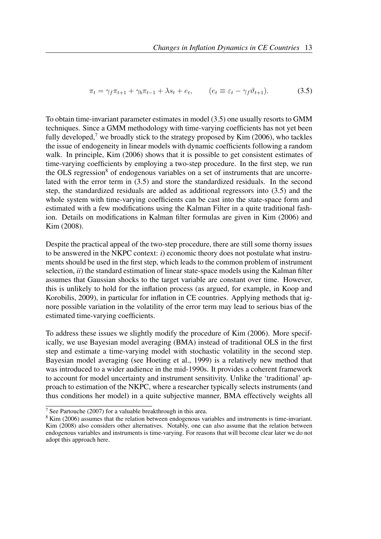$$
\pi_t = \gamma_f \pi_{t+1} + \gamma_b \pi_{t-1} + \lambda s_t + e_t, \qquad (e_t \equiv \varepsilon_t - \gamma_f \vartheta_{t+1}). \tag{3.5}
$$

To obtain time-invariant parameter estimates in model (3.5) one usually resorts to GMM techniques. Since a GMM methodology with time-varying coefficients has not yet been fully developed,<sup>7</sup> we broadly stick to the strategy proposed by Kim  $(2006)$ , who tackles the issue of endogeneity in linear models with dynamic coefficients following a random walk. In principle, Kim (2006) shows that it is possible to get consistent estimates of time-varying coefficients by employing a two-step procedure. In the first step, we run the OLS regression<sup>8</sup> of endogenous variables on a set of instruments that are uncorrelated with the error term in (3.5) and store the standardized residuals. In the second step, the standardized residuals are added as additional regressors into (3.5) and the whole system with time-varying coefficients can be cast into the state-space form and estimated with a few modifications using the Kalman Filter in a quite traditional fashion. Details on modifications in Kalman filter formulas are given in Kim (2006) and Kim (2008).

Despite the practical appeal of the two-step procedure, there are still some thorny issues to be answered in the NKPC context: *i*) economic theory does not postulate what instruments should be used in the first step, which leads to the common problem of instrument selection, *ii*) the standard estimation of linear state-space models using the Kalman filter assumes that Gaussian shocks to the target variable are constant over time. However, this is unlikely to hold for the inflation process (as argued, for example, in Koop and Korobilis, 2009), in particular for inflation in CE countries. Applying methods that ignore possible variation in the volatility of the error term may lead to serious bias of the estimated time-varying coefficients.

To address these issues we slightly modify the procedure of Kim (2006). More specifically, we use Bayesian model averaging (BMA) instead of traditional OLS in the first step and estimate a time-varying model with stochastic volatility in the second step. Bayesian model averaging (see Hoeting et al., 1999) is a relatively new method that was introduced to a wider audience in the mid-1990s. It provides a coherent framework to account for model uncertainty and instrument sensitivity. Unlike the 'traditional' approach to estimation of the NKPC, where a researcher typically selects instruments (and thus conditions her model) in a quite subjective manner, BMA effectively weights all

<sup>7</sup> See Partouche (2007) for a valuable breakthrough in this area.

<sup>&</sup>lt;sup>8</sup> Kim (2006) assumes that the relation between endogenous variables and instruments is time-invariant. Kim (2008) also considers other alternatives. Notably, one can also assume that the relation between endogenous variables and instruments is time-varying. For reasons that will become clear later we do not adopt this approach here.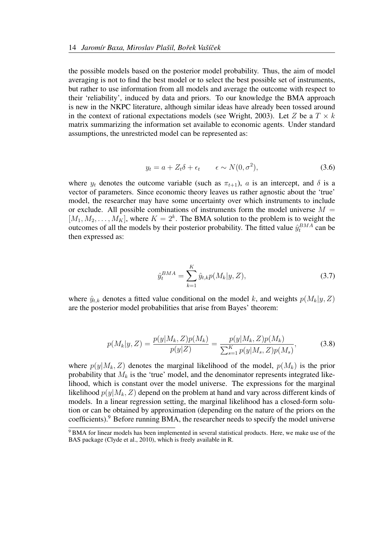the possible models based on the posterior model probability. Thus, the aim of model averaging is not to find the best model or to select the best possible set of instruments, but rather to use information from all models and average the outcome with respect to their 'reliability', induced by data and priors. To our knowledge the BMA approach is new in the NKPC literature, although similar ideas have already been tossed around in the context of rational expectations models (see Wright, 2003). Let Z be a  $T \times k$ matrix summarizing the information set available to economic agents. Under standard assumptions, the unrestricted model can be represented as:

$$
y_t = a + Z_t \delta + \epsilon_t \qquad \epsilon \sim N(0, \sigma^2), \tag{3.6}
$$

where  $y_t$  denotes the outcome variable (such as  $\pi_{t+1}$ ), a is an intercept, and  $\delta$  is a vector of parameters. Since economic theory leaves us rather agnostic about the 'true' model, the researcher may have some uncertainty over which instruments to include or exclude. All possible combinations of instruments form the model universe  $M =$  $[M_1, M_2, \ldots, M_K]$ , where  $K = 2^k$ . The BMA solution to the problem is to weight the outcomes of all the models by their posterior probability. The fitted value  $\hat{y}^{BMA}_{t}$  can be then expressed as:

$$
\hat{y}_t^{BMA} = \sum_{k=1}^{K} \hat{y}_{t,k} p(M_k | y, Z), \tag{3.7}
$$

where  $\hat{y}_{t,k}$  denotes a fitted value conditional on the model k, and weights  $p(M_k|y, Z)$ are the posterior model probabilities that arise from Bayes' theorem:

$$
p(M_k|y,Z) = \frac{p(y|M_k,Z)p(M_k)}{p(y|Z)} = \frac{p(y|M_k,Z)p(M_k)}{\sum_{s=1}^K p(y|M_s,Z)p(M_s)},
$$
(3.8)

where  $p(y|M_k, Z)$  denotes the marginal likelihood of the model,  $p(M_k)$  is the prior probability that  $M_k$  is the 'true' model, and the denominator represents integrated likelihood, which is constant over the model universe. The expressions for the marginal likelihood  $p(y|M_k, Z)$  depend on the problem at hand and vary across different kinds of models. In a linear regression setting, the marginal likelihood has a closed-form solution or can be obtained by approximation (depending on the nature of the priors on the coefficients).<sup>9</sup> Before running BMA, the researcher needs to specify the model universe

 $9$  BMA for linear models has been implemented in several statistical products. Here, we make use of the BAS package (Clyde et al., 2010), which is freely available in R.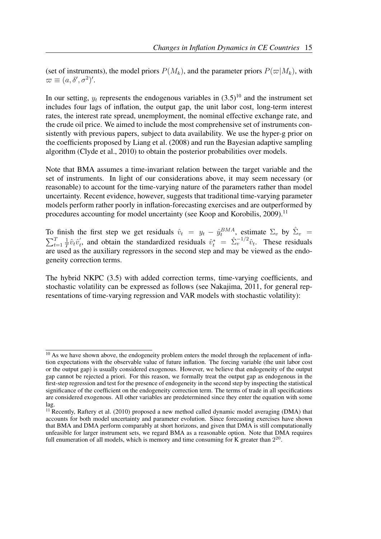(set of instruments), the model priors  $P(M_k)$ , and the parameter priors  $P(\varpi|M_k)$ , with  $\varpi \equiv (a, \delta', \sigma^2)'.$ 

In our setting,  $y_t$  represents the endogenous variables in  $(3.5)^{10}$  and the instrument set includes four lags of inflation, the output gap, the unit labor cost, long-term interest rates, the interest rate spread, unemployment, the nominal effective exchange rate, and the crude oil price. We aimed to include the most comprehensive set of instruments consistently with previous papers, subject to data availability. We use the hyper-g prior on the coefficients proposed by Liang et al. (2008) and run the Bayesian adaptive sampling algorithm (Clyde et al., 2010) to obtain the posterior probabilities over models.

Note that BMA assumes a time-invariant relation between the target variable and the set of instruments. In light of our considerations above, it may seem necessary (or reasonable) to account for the time-varying nature of the parameters rather than model uncertainty. Recent evidence, however, suggests that traditional time-varying parameter models perform rather poorly in inflation-forecasting exercises and are outperformed by procedures accounting for model uncertainty (see Koop and Korobilis, 2009).<sup>11</sup>

To finish the first step we get residuals  $\hat{v}_t = y_t - \hat{y}_t^{BMA}$ , estimate  $\Sigma_v$  by  $\hat{\Sigma}_v =$  $\sum_{t=1}^{T}$ 1  $\frac{1}{T}\hat{v}_t\hat{v}_t'$  $t'_t$ , and obtain the standardized residuals  $\hat{v}_t^* = \hat{\Sigma}_v^{-1/2} \hat{v}_t$ . These residuals are used as the auxiliary regressors in the second step and may be viewed as the endogeneity correction terms.

The hybrid NKPC (3.5) with added correction terms, time-varying coefficients, and stochastic volatility can be expressed as follows (see Nakajima, 2011, for general representations of time-varying regression and VAR models with stochastic volatility):

 $10$  As we have shown above, the endogeneity problem enters the model through the replacement of inflation expectations with the observable value of future inflation. The forcing variable (the unit labor cost or the output gap) is usually considered exogenous. However, we believe that endogeneity of the output gap cannot be rejected a priori. For this reason, we formally treat the output gap as endogenous in the first-step regression and test for the presence of endogeneity in the second step by inspecting the statistical significance of the coefficient on the endogeneity correction term. The terms of trade in all specifications are considered exogenous. All other variables are predetermined since they enter the equation with some lag.

 $11$  Recently, Raftery et al. (2010) proposed a new method called dynamic model averaging (DMA) that accounts for both model uncertainty and parameter evolution. Since forecasting exercises have shown that BMA and DMA perform comparably at short horizons, and given that DMA is still computationally unfeasible for larger instrument sets, we regard BMA as a reasonable option. Note that DMA requires full enumeration of all models, which is memory and time consuming for K greater than  $2^{20}$ .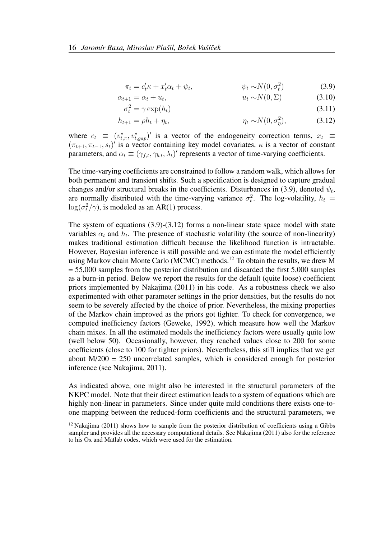$$
\pi_t = c_t' \kappa + x_t' \alpha_t + \psi_t, \qquad \psi_t \sim N(0, \sigma_t^2)
$$
\n(3.9)

$$
\alpha_{t+1} = \alpha_t + u_t, \qquad u_t \sim N(0, \Sigma) \tag{3.10}
$$

$$
\sigma_t^2 = \gamma \exp(h_t) \tag{3.11}
$$

$$
h_{t+1} = \rho h_t + \eta_t, \qquad \eta_t \sim N(0, \sigma_\eta^2), \qquad (3.12)
$$

where  $c_t \equiv (v_{t,\pi}^*, v_{t,gap}^*)'$  is a vector of the endogeneity correction terms,  $x_t \equiv$  $(\pi_{t+1}, \pi_{t-1}, s_t)'$  is a vector containing key model covariates,  $\kappa$  is a vector of constant parameters, and  $\alpha_t \equiv (\gamma_{f,t}, \gamma_{b,t}, \lambda_t)'$  represents a vector of time-varying coefficients.

The time-varying coefficients are constrained to follow a random walk, which allows for both permanent and transient shifts. Such a specification is designed to capture gradual changes and/or structural breaks in the coefficients. Disturbances in (3.9), denoted  $\psi_t$ , are normally distributed with the time-varying variance  $\sigma_t^2$ . The log-volatility,  $h_t =$  $\log(\sigma_t^2/\gamma)$ , is modeled as an AR(1) process.

The system of equations (3.9)-(3.12) forms a non-linear state space model with state variables  $\alpha_t$  and  $h_t$ . The presence of stochastic volatility (the source of non-linearity) makes traditional estimation difficult because the likelihood function is intractable. However, Bayesian inference is still possible and we can estimate the model efficiently using Markov chain Monte Carlo (MCMC) methods.<sup>12</sup> To obtain the results, we drew M = 55,000 samples from the posterior distribution and discarded the first 5,000 samples as a burn-in period. Below we report the results for the default (quite loose) coefficient priors implemented by Nakajima (2011) in his code. As a robustness check we also experimented with other parameter settings in the prior densities, but the results do not seem to be severely affected by the choice of prior. Nevertheless, the mixing properties of the Markov chain improved as the priors got tighter. To check for convergence, we computed inefficiency factors (Geweke, 1992), which measure how well the Markov chain mixes. In all the estimated models the inefficiency factors were usually quite low (well below 50). Occasionally, however, they reached values close to 200 for some coefficients (close to 100 for tighter priors). Nevertheless, this still implies that we get about M/200 = 250 uncorrelated samples, which is considered enough for posterior inference (see Nakajima, 2011).

As indicated above, one might also be interested in the structural parameters of the NKPC model. Note that their direct estimation leads to a system of equations which are highly non-linear in parameters. Since under quite mild conditions there exists one-toone mapping between the reduced-form coefficients and the structural parameters, we

 $\frac{12}{12}$  Nakajima (2011) shows how to sample from the posterior distribution of coefficients using a Gibbs sampler and provides all the necessary computational details. See Nakajima (2011) also for the reference to his Ox and Matlab codes, which were used for the estimation.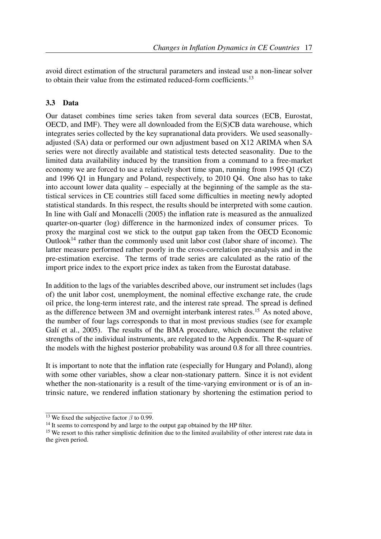avoid direct estimation of the structural parameters and instead use a non-linear solver to obtain their value from the estimated reduced-form coefficients.<sup>13</sup>

### 3.3 Data

Our dataset combines time series taken from several data sources (ECB, Eurostat, OECD, and IMF). They were all downloaded from the E(S)CB data warehouse, which integrates series collected by the key supranational data providers. We used seasonallyadjusted (SA) data or performed our own adjustment based on X12 ARIMA when SA series were not directly available and statistical tests detected seasonality. Due to the limited data availability induced by the transition from a command to a free-market economy we are forced to use a relatively short time span, running from 1995 Q1 (CZ) and 1996 Q1 in Hungary and Poland, respectively, to 2010 Q4. One also has to take into account lower data quality – especially at the beginning of the sample as the statistical services in CE countries still faced some difficulties in meeting newly adopted statistical standards. In this respect, the results should be interpreted with some caution. In line with Galí and Monacelli (2005) the inflation rate is measured as the annualized quarter-on-quarter (log) difference in the harmonized index of consumer prices. To proxy the marginal cost we stick to the output gap taken from the OECD Economic Outlook<sup>14</sup> rather than the commonly used unit labor cost (labor share of income). The latter measure performed rather poorly in the cross-correlation pre-analysis and in the pre-estimation exercise. The terms of trade series are calculated as the ratio of the import price index to the export price index as taken from the Eurostat database.

In addition to the lags of the variables described above, our instrument set includes (lags of) the unit labor cost, unemployment, the nominal effective exchange rate, the crude oil price, the long-term interest rate, and the interest rate spread. The spread is defined as the difference between 3M and overnight interbank interest rates.<sup>15</sup> As noted above, the number of four lags corresponds to that in most previous studies (see for example Galí et al., 2005). The results of the BMA procedure, which document the relative strengths of the individual instruments, are relegated to the Appendix. The R-square of the models with the highest posterior probability was around 0.8 for all three countries.

It is important to note that the inflation rate (especially for Hungary and Poland), along with some other variables, show a clear non-stationary pattern. Since it is not evident whether the non-stationarity is a result of the time-varying environment or is of an intrinsic nature, we rendered inflation stationary by shortening the estimation period to

<sup>&</sup>lt;sup>13</sup> We fixed the subjective factor  $\beta$  to 0.99.

<sup>&</sup>lt;sup>14</sup> It seems to correspond by and large to the output gap obtained by the HP filter.

<sup>&</sup>lt;sup>15</sup> We resort to this rather simplistic definition due to the limited availability of other interest rate data in the given period.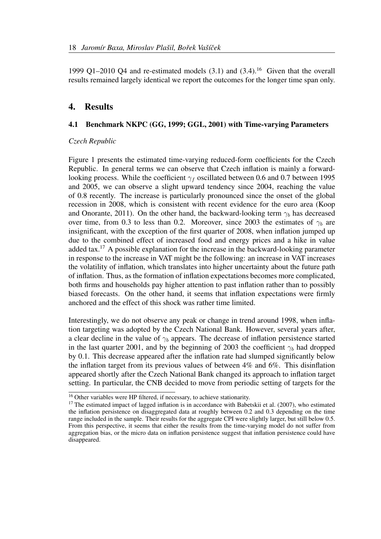1999 Q1–2010 Q4 and re-estimated models  $(3.1)$  and  $(3.4)$ .<sup>16</sup> Given that the overall results remained largely identical we report the outcomes for the longer time span only.

### 4. Results

#### 4.1 Benchmark NKPC (GG, 1999; GGL, 2001) with Time-varying Parameters

#### *Czech Republic*

Figure 1 presents the estimated time-varying reduced-form coefficients for the Czech Republic. In general terms we can observe that Czech inflation is mainly a forwardlooking process. While the coefficient  $\gamma_f$  oscillated between 0.6 and 0.7 between 1995 and 2005, we can observe a slight upward tendency since 2004, reaching the value of 0.8 recently. The increase is particularly pronounced since the onset of the global recession in 2008, which is consistent with recent evidence for the euro area (Koop and Onorante, 2011). On the other hand, the backward-looking term  $\gamma_b$  has decreased over time, from 0.3 to less than 0.2. Moreover, since 2003 the estimates of  $\gamma_b$  are insignificant, with the exception of the first quarter of 2008, when inflation jumped up due to the combined effect of increased food and energy prices and a hike in value added tax.<sup>17</sup> A possible explanation for the increase in the backward-looking parameter in response to the increase in VAT might be the following: an increase in VAT increases the volatility of inflation, which translates into higher uncertainty about the future path of inflation. Thus, as the formation of inflation expectations becomes more complicated, both firms and households pay higher attention to past inflation rather than to possibly biased forecasts. On the other hand, it seems that inflation expectations were firmly anchored and the effect of this shock was rather time limited.

Interestingly, we do not observe any peak or change in trend around 1998, when inflation targeting was adopted by the Czech National Bank. However, several years after, a clear decline in the value of  $\gamma_b$  appears. The decrease of inflation persistence started in the last quarter 2001, and by the beginning of 2003 the coefficient  $\gamma_b$  had dropped by 0.1. This decrease appeared after the inflation rate had slumped significantly below the inflation target from its previous values of between 4% and 6%. This disinflation appeared shortly after the Czech National Bank changed its approach to inflation target setting. In particular, the CNB decided to move from periodic setting of targets for the

<sup>&</sup>lt;sup>16</sup> Other variables were HP filtered, if necessary, to achieve stationarity.

<sup>&</sup>lt;sup>17</sup> The estimated impact of lagged inflation is in accordance with Babetskii et al. (2007), who estimated the inflation persistence on disaggregated data at roughly between 0.2 and 0.3 depending on the time range included in the sample. Their results for the aggregate CPI were slightly larger, but still below 0.5. From this perspective, it seems that either the results from the time-varying model do not suffer from aggregation bias, or the micro data on inflation persistence suggest that inflation persistence could have disappeared.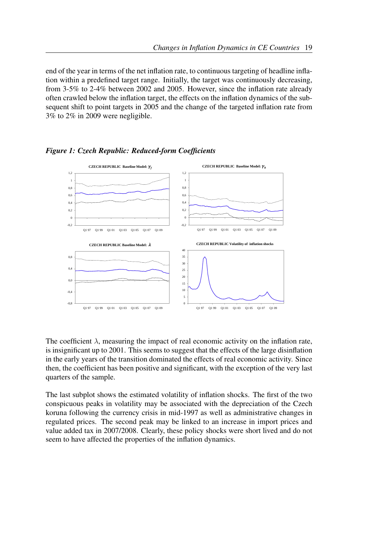end of the year in terms of the net inflation rate, to continuous targeting of headline inflation within a predefined target range. Initially, the target was continuously decreasing, from 3-5% to 2-4% between 2002 and 2005. However, since the inflation rate already often crawled below the inflation target, the effects on the inflation dynamics of the subsequent shift to point targets in 2005 and the change of the targeted inflation rate from 3% to 2% in 2009 were negligible.



*Figure 1: Czech Republic: Reduced-form Coefficients*

The coefficient  $\lambda$ , measuring the impact of real economic activity on the inflation rate, is insignificant up to 2001. This seems to suggest that the effects of the large disinflation in the early years of the transition dominated the effects of real economic activity. Since then, the coefficient has been positive and significant, with the exception of the very last quarters of the sample.

The last subplot shows the estimated volatility of inflation shocks. The first of the two conspicuous peaks in volatility may be associated with the depreciation of the Czech koruna following the currency crisis in mid-1997 as well as administrative changes in regulated prices. The second peak may be linked to an increase in import prices and value added tax in 2007/2008. Clearly, these policy shocks were short lived and do not seem to have affected the properties of the inflation dynamics.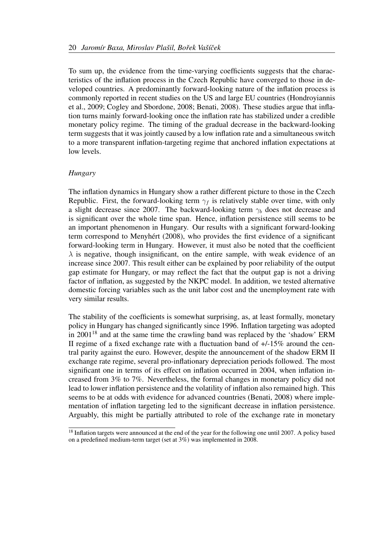To sum up, the evidence from the time-varying coefficients suggests that the characteristics of the inflation process in the Czech Republic have converged to those in developed countries. A predominantly forward-looking nature of the inflation process is commonly reported in recent studies on the US and large EU countries (Hondroyiannis et al., 2009; Cogley and Sbordone, 2008; Benati, 2008). These studies argue that inflation turns mainly forward-looking once the inflation rate has stabilized under a credible monetary policy regime. The timing of the gradual decrease in the backward-looking term suggests that it was jointly caused by a low inflation rate and a simultaneous switch to a more transparent inflation-targeting regime that anchored inflation expectations at low levels.

#### *Hungary*

The inflation dynamics in Hungary show a rather different picture to those in the Czech Republic. First, the forward-looking term  $\gamma_f$  is relatively stable over time, with only a slight decrease since 2007. The backward-looking term  $\gamma_b$  does not decrease and is significant over the whole time span. Hence, inflation persistence still seems to be an important phenomenon in Hungary. Our results with a significant forward-looking term correspond to Menyhert (2008), who provides the first evidence of a significant ´ forward-looking term in Hungary. However, it must also be noted that the coefficient  $\lambda$  is negative, though insignificant, on the entire sample, with weak evidence of an increase since 2007. This result either can be explained by poor reliability of the output gap estimate for Hungary, or may reflect the fact that the output gap is not a driving factor of inflation, as suggested by the NKPC model. In addition, we tested alternative domestic forcing variables such as the unit labor cost and the unemployment rate with very similar results.

The stability of the coefficients is somewhat surprising, as, at least formally, monetary policy in Hungary has changed significantly since 1996. Inflation targeting was adopted in  $2001^{18}$  and at the same time the crawling band was replaced by the 'shadow' ERM II regime of a fixed exchange rate with a fluctuation band of +/-15% around the central parity against the euro. However, despite the announcement of the shadow ERM II exchange rate regime, several pro-inflationary depreciation periods followed. The most significant one in terms of its effect on inflation occurred in 2004, when inflation increased from 3% to 7%. Nevertheless, the formal changes in monetary policy did not lead to lower inflation persistence and the volatility of inflation also remained high. This seems to be at odds with evidence for advanced countries (Benati, 2008) where implementation of inflation targeting led to the significant decrease in inflation persistence. Arguably, this might be partially attributed to role of the exchange rate in monetary

<sup>&</sup>lt;sup>18</sup> Inflation targets were announced at the end of the year for the following one until 2007. A policy based on a predefined medium-term target (set at 3%) was implemented in 2008.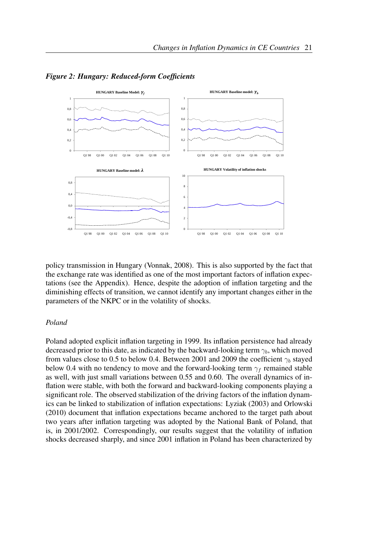

*Figure 2: Hungary: Reduced-form Coefficients*

policy transmission in Hungary (Vonnak, 2008). This is also supported by the fact that the exchange rate was identified as one of the most important factors of inflation expectations (see the Appendix). Hence, despite the adoption of inflation targeting and the diminishing effects of transition, we cannot identify any important changes either in the parameters of the NKPC or in the volatility of shocks.

#### *Poland*

Poland adopted explicit inflation targeting in 1999. Its inflation persistence had already decreased prior to this date, as indicated by the backward-looking term  $\gamma_b$ , which moved from values close to 0.5 to below 0.4. Between 2001 and 2009 the coefficient  $\gamma_b$  stayed below 0.4 with no tendency to move and the forward-looking term  $\gamma_f$  remained stable as well, with just small variations between 0.55 and 0.60. The overall dynamics of inflation were stable, with both the forward and backward-looking components playing a significant role. The observed stabilization of the driving factors of the inflation dynamics can be linked to stabilization of inflation expectations: Lyziak (2003) and Orlowski (2010) document that inflation expectations became anchored to the target path about two years after inflation targeting was adopted by the National Bank of Poland, that is, in 2001/2002. Correspondingly, our results suggest that the volatility of inflation shocks decreased sharply, and since 2001 inflation in Poland has been characterized by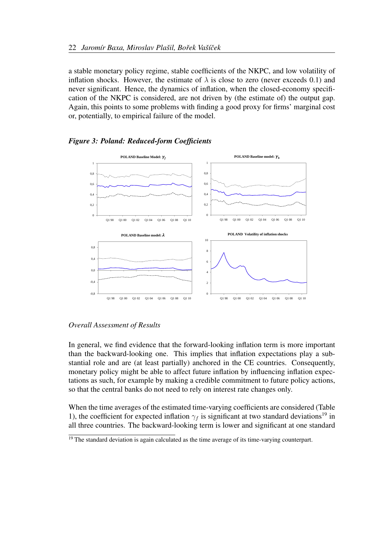a stable monetary policy regime, stable coefficients of the NKPC, and low volatility of inflation shocks. However, the estimate of  $\lambda$  is close to zero (never exceeds 0.1) and never significant. Hence, the dynamics of inflation, when the closed-economy specification of the NKPC is considered, are not driven by (the estimate of) the output gap. Again, this points to some problems with finding a good proxy for firms' marginal cost or, potentially, to empirical failure of the model.



*Figure 3: Poland: Reduced-form Coefficients*

#### *Overall Assessment of Results*

In general, we find evidence that the forward-looking inflation term is more important than the backward-looking one. This implies that inflation expectations play a substantial role and are (at least partially) anchored in the CE countries. Consequently, monetary policy might be able to affect future inflation by influencing inflation expectations as such, for example by making a credible commitment to future policy actions, so that the central banks do not need to rely on interest rate changes only.

When the time averages of the estimated time-varying coefficients are considered (Table 1), the coefficient for expected inflation  $\gamma_f$  is significant at two standard deviations<sup>19</sup> in all three countries. The backward-looking term is lower and significant at one standard

 $\frac{19}{19}$  The standard deviation is again calculated as the time average of its time-varying counterpart.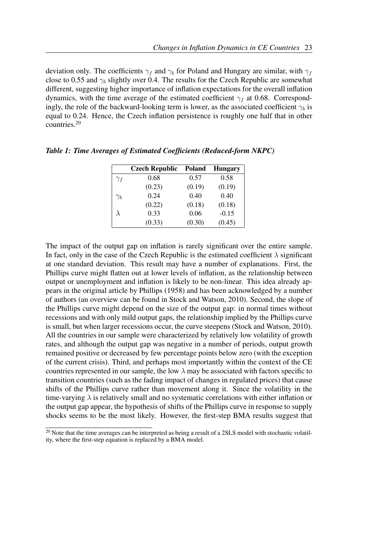deviation only. The coefficients  $\gamma_f$  and  $\gamma_b$  for Poland and Hungary are similar, with  $\gamma_f$ close to 0.55 and  $\gamma_b$  slightly over 0.4. The results for the Czech Republic are somewhat different, suggesting higher importance of inflation expectations for the overall inflation dynamics, with the time average of the estimated coefficient  $\gamma_f$  at 0.68. Correspondingly, the role of the backward-looking term is lower, as the associated coefficient  $\gamma_b$  is equal to 0.24. Hence, the Czech inflation persistence is roughly one half that in other countries.<sup>20</sup>

|            | <b>Czech Republic</b> | Poland | <b>Hungary</b> |
|------------|-----------------------|--------|----------------|
| $\gamma_f$ | 0.68                  | 0.57   | 0.58           |
|            | (0.23)                | (0.19) | (0.19)         |
| $\gamma_b$ | 0.24                  | 0.40   | 0.40           |
|            | (0.22)                | (0.18) | (0.18)         |
| λ          | 0.33                  | 0.06   | $-0.15$        |
|            | (0.33)                | (0.30) | (0.45)         |

*Table 1: Time Averages of Estimated Coefficients (Reduced-form NKPC)*

The impact of the output gap on inflation is rarely significant over the entire sample. In fact, only in the case of the Czech Republic is the estimated coefficient  $\lambda$  significant at one standard deviation. This result may have a number of explanations. First, the Phillips curve might flatten out at lower levels of inflation, as the relationship between output or unemployment and inflation is likely to be non-linear. This idea already appears in the original article by Phillips (1958) and has been acknowledged by a number of authors (an overview can be found in Stock and Watson, 2010). Second, the slope of the Phillips curve might depend on the size of the output gap: in normal times without recessions and with only mild output gaps, the relationship implied by the Phillips curve is small, but when larger recessions occur, the curve steepens (Stock and Watson, 2010). All the countries in our sample were characterized by relatively low volatility of growth rates, and although the output gap was negative in a number of periods, output growth remained positive or decreased by few percentage points below zero (with the exception of the current crisis). Third, and perhaps most importantly within the context of the CE countries represented in our sample, the low  $\lambda$  may be associated with factors specific to transition countries (such as the fading impact of changes in regulated prices) that cause shifts of the Phillips curve rather than movement along it. Since the volatility in the time-varying  $\lambda$  is relatively small and no systematic correlations with either inflation or the output gap appear, the hypothesis of shifts of the Phillips curve in response to supply shocks seems to be the most likely. However, the first-step BMA results suggest that

 $20$  Note that the time averages can be interpreted as being a result of a 2SLS model with stochastic volatility, where the first-step equation is replaced by a BMA model.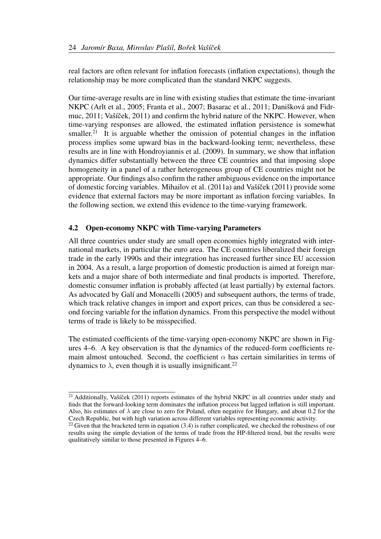real factors are often relevant for inflation forecasts (inflation expectations), though the relationship may be more complicated than the standard NKPC suggests.

Our time-average results are in line with existing studies that estimate the time-invariant NKPC (Arlt et al., 2005; Franta et al., 2007; Basarac et al., 2011; Danišková and Fidrmuc,  $2011$ ; Vašíček,  $2011$ ) and confirm the hybrid nature of the NKPC. However, when time-varying responses are allowed, the estimated inflation persistence is somewhat smaller.<sup>21</sup> It is arguable whether the omission of potential changes in the inflation process implies some upward bias in the backward-looking term; nevertheless, these results are in line with Hondroyiannis et al. (2009). In summary, we show that inflation dynamics differ substantially between the three CE countries and that imposing slope homogeneity in a panel of a rather heterogeneous group of CE countries might not be appropriate. Our findings also confirm the rather ambiguous evidence on the importance of domestic forcing variables. Mihailov et al.  $(2011a)$  and Vašíček  $(2011)$  provide some evidence that external factors may be more important as inflation forcing variables. In the following section, we extend this evidence to the time-varying framework.

#### 4.2 Open-economy NKPC with Time-varying Parameters

All three countries under study are small open economies highly integrated with international markets, in particular the euro area. The CE countries liberalized their foreign trade in the early 1990s and their integration has increased further since EU accession in 2004. As a result, a large proportion of domestic production is aimed at foreign markets and a major share of both intermediate and final products is imported. Therefore, domestic consumer inflation is probably affected (at least partially) by external factors. As advocated by Galí and Monacelli (2005) and subsequent authors, the terms of trade, which track relative changes in import and export prices, can thus be considered a second forcing variable for the inflation dynamics. From this perspective the model without terms of trade is likely to be misspecified.

The estimated coefficients of the time-varying open-economy NKPC are shown in Figures 4–6. A key observation is that the dynamics of the reduced-form coefficients remain almost untouched. Second, the coefficient  $\alpha$  has certain similarities in terms of dynamics to  $\lambda$ , even though it is usually insignificant.<sup>22</sup>

 $21$  Additionally, Vašíček (2011) reports estimates of the hybrid NKPC in all countries under study and finds that the forward-looking term dominates the inflation process but lagged inflation is still important. Also, his estimates of  $\lambda$  are close to zero for Poland, often negative for Hungary, and about 0.2 for the Czech Republic, but with high variation across different variables representing economic activity.

<sup>&</sup>lt;sup>22</sup> Given that the bracketed term in equation  $(3.4)$  is rather complicated, we checked the robustness of our results using the simple deviation of the terms of trade from the HP-filtered trend, but the results were qualitatively similar to those presented in Figures 4–6.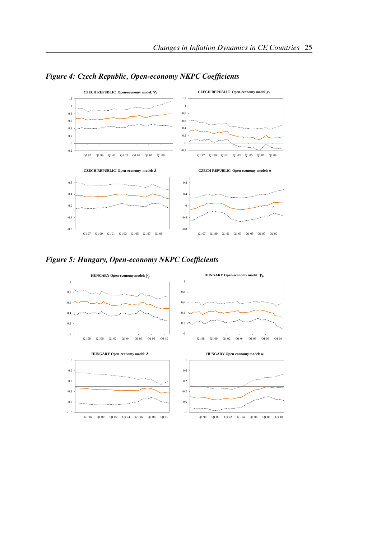

*Figure 4: Czech Republic, Open-economy NKPC Coefficients*



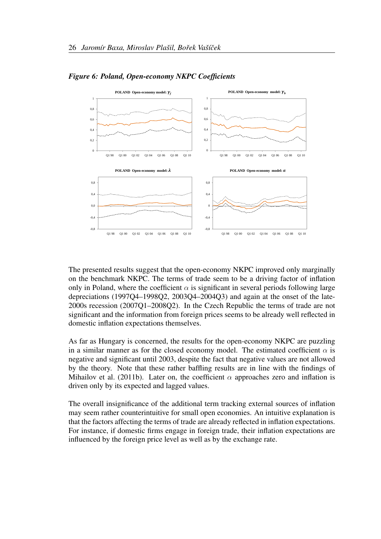

*Figure 6: Poland, Open-economy NKPC Coefficients*

The presented results suggest that the open-economy NKPC improved only marginally on the benchmark NKPC. The terms of trade seem to be a driving factor of inflation only in Poland, where the coefficient  $\alpha$  is significant in several periods following large depreciations (1997Q4–1998Q2, 2003Q4–2004Q3) and again at the onset of the late-2000s recession (2007Q1–2008Q2). In the Czech Republic the terms of trade are not significant and the information from foreign prices seems to be already well reflected in domestic inflation expectations themselves.

As far as Hungary is concerned, the results for the open-economy NKPC are puzzling in a similar manner as for the closed economy model. The estimated coefficient  $\alpha$  is negative and significant until 2003, despite the fact that negative values are not allowed by the theory. Note that these rather baffling results are in line with the findings of Mihailov et al. (2011b). Later on, the coefficient  $\alpha$  approaches zero and inflation is driven only by its expected and lagged values.

The overall insignificance of the additional term tracking external sources of inflation may seem rather counterintuitive for small open economies. An intuitive explanation is that the factors affecting the terms of trade are already reflected in inflation expectations. For instance, if domestic firms engage in foreign trade, their inflation expectations are influenced by the foreign price level as well as by the exchange rate.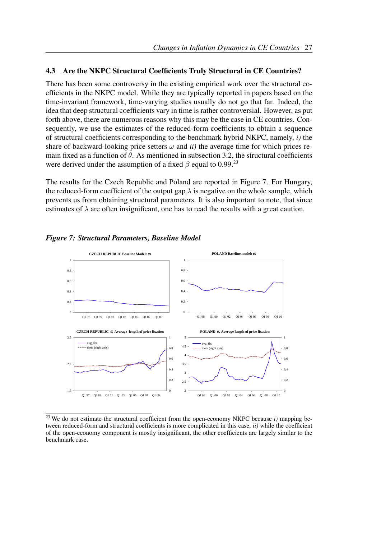#### 4.3 Are the NKPC Structural Coefficients Truly Structural in CE Countries?

There has been some controversy in the existing empirical work over the structural coefficients in the NKPC model. While they are typically reported in papers based on the time-invariant framework, time-varying studies usually do not go that far. Indeed, the idea that deep structural coefficients vary in time is rather controversial. However, as put forth above, there are numerous reasons why this may be the case in CE countries. Consequently, we use the estimates of the reduced-form coefficients to obtain a sequence of structural coefficients corresponding to the benchmark hybrid NKPC, namely, *i)* the share of backward-looking price setters  $\omega$  and  $ii$ ) the average time for which prices remain fixed as a function of  $\theta$ . As mentioned in subsection 3.2, the structural coefficients were derived under the assumption of a fixed  $\beta$  equal to 0.99.<sup>23</sup>

The results for the Czech Republic and Poland are reported in Figure 7. For Hungary, the reduced-form coefficient of the output gap  $\lambda$  is negative on the whole sample, which prevents us from obtaining structural parameters. It is also important to note, that since estimates of  $\lambda$  are often insignificant, one has to read the results with a great caution.



*Figure 7: Structural Parameters, Baseline Model*

<sup>23</sup> We do not estimate the structural coefficient from the open-economy NKPC because *i)* mapping between reduced-form and structural coefficients is more complicated in this case, *ii)* while the coefficient of the open-economy component is mostly insignificant, the other coefficients are largely similar to the benchmark case.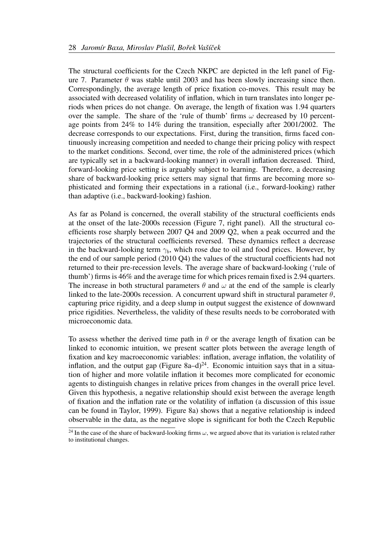The structural coefficients for the Czech NKPC are depicted in the left panel of Figure 7. Parameter  $\theta$  was stable until 2003 and has been slowly increasing since then. Correspondingly, the average length of price fixation co-moves. This result may be associated with decreased volatility of inflation, which in turn translates into longer periods when prices do not change. On average, the length of fixation was 1.94 quarters over the sample. The share of the 'rule of thumb' firms  $\omega$  decreased by 10 percentage points from 24% to 14% during the transition, especially after 2001/2002. The decrease corresponds to our expectations. First, during the transition, firms faced continuously increasing competition and needed to change their pricing policy with respect to the market conditions. Second, over time, the role of the administered prices (which are typically set in a backward-looking manner) in overall inflation decreased. Third, forward-looking price setting is arguably subject to learning. Therefore, a decreasing share of backward-looking price setters may signal that firms are becoming more sophisticated and forming their expectations in a rational (i.e., forward-looking) rather than adaptive (i.e., backward-looking) fashion.

As far as Poland is concerned, the overall stability of the structural coefficients ends at the onset of the late-2000s recession (Figure 7, right panel). All the structural coefficients rose sharply between 2007 Q4 and 2009 Q2, when a peak occurred and the trajectories of the structural coefficients reversed. These dynamics reflect a decrease in the backward-looking term  $\gamma_b$ , which rose due to oil and food prices. However, by the end of our sample period (2010 Q4) the values of the structural coefficients had not returned to their pre-recession levels. The average share of backward-looking ('rule of thumb') firms is 46% and the average time for which prices remain fixed is 2.94 quarters. The increase in both structural parameters  $\theta$  and  $\omega$  at the end of the sample is clearly linked to the late-2000s recession. A concurrent upward shift in structural parameter  $\theta$ , capturing price rigidity, and a deep slump in output suggest the existence of downward price rigidities. Nevertheless, the validity of these results needs to be corroborated with microeconomic data.

To assess whether the derived time path in  $\theta$  or the average length of fixation can be linked to economic intuition, we present scatter plots between the average length of fixation and key macroeconomic variables: inflation, average inflation, the volatility of inflation, and the output gap (Figure 8a–d)<sup>24</sup>. Economic intuition says that in a situation of higher and more volatile inflation it becomes more complicated for economic agents to distinguish changes in relative prices from changes in the overall price level. Given this hypothesis, a negative relationship should exist between the average length of fixation and the inflation rate or the volatility of inflation (a discussion of this issue can be found in Taylor, 1999). Figure 8a) shows that a negative relationship is indeed observable in the data, as the negative slope is significant for both the Czech Republic

<sup>&</sup>lt;sup>24</sup> In the case of the share of backward-looking firms  $\omega$ , we argued above that its variation is related rather to institutional changes.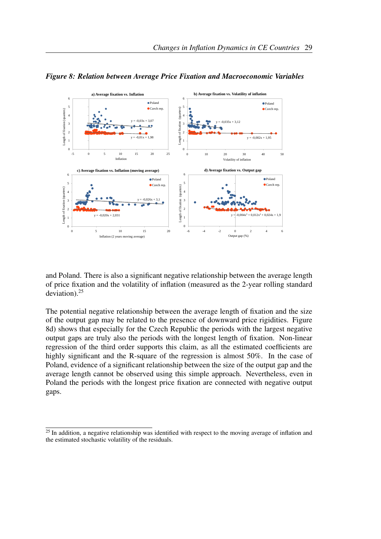

*Figure 8: Relation between Average Price Fixation and Macroeconomic Variables*

and Poland. There is also a significant negative relationship between the average length of price fixation and the volatility of inflation (measured as the 2-year rolling standard deviation). $25$ 

The potential negative relationship between the average length of fixation and the size of the output gap may be related to the presence of downward price rigidities. Figure 8d) shows that especially for the Czech Republic the periods with the largest negative output gaps are truly also the periods with the longest length of fixation. Non-linear regression of the third order supports this claim, as all the estimated coefficients are highly significant and the R-square of the regression is almost 50%. In the case of Poland, evidence of a significant relationship between the size of the output gap and the average length cannot be observed using this simple approach. Nevertheless, even in Poland the periods with the longest price fixation are connected with negative output gaps.

 $25$  In addition, a negative relationship was identified with respect to the moving average of inflation and the estimated stochastic volatility of the residuals.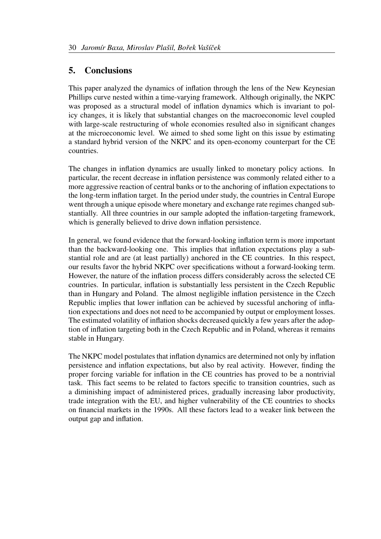# 5. Conclusions

This paper analyzed the dynamics of inflation through the lens of the New Keynesian Phillips curve nested within a time-varying framework. Although originally, the NKPC was proposed as a structural model of inflation dynamics which is invariant to policy changes, it is likely that substantial changes on the macroeconomic level coupled with large-scale restructuring of whole economies resulted also in significant changes at the microeconomic level. We aimed to shed some light on this issue by estimating a standard hybrid version of the NKPC and its open-economy counterpart for the CE countries.

The changes in inflation dynamics are usually linked to monetary policy actions. In particular, the recent decrease in inflation persistence was commonly related either to a more aggressive reaction of central banks or to the anchoring of inflation expectations to the long-term inflation target. In the period under study, the countries in Central Europe went through a unique episode where monetary and exchange rate regimes changed substantially. All three countries in our sample adopted the inflation-targeting framework, which is generally believed to drive down inflation persistence.

In general, we found evidence that the forward-looking inflation term is more important than the backward-looking one. This implies that inflation expectations play a substantial role and are (at least partially) anchored in the CE countries. In this respect, our results favor the hybrid NKPC over specifications without a forward-looking term. However, the nature of the inflation process differs considerably across the selected CE countries. In particular, inflation is substantially less persistent in the Czech Republic than in Hungary and Poland. The almost negligible inflation persistence in the Czech Republic implies that lower inflation can be achieved by sucessful anchoring of inflation expectations and does not need to be accompanied by output or employment losses. The estimated volatility of inflation shocks decreased quickly a few years after the adoption of inflation targeting both in the Czech Republic and in Poland, whereas it remains stable in Hungary.

The NKPC model postulates that inflation dynamics are determined not only by inflation persistence and inflation expectations, but also by real activity. However, finding the proper forcing variable for inflation in the CE countries has proved to be a nontrivial task. This fact seems to be related to factors specific to transition countries, such as a diminishing impact of administered prices, gradually increasing labor productivity, trade integration with the EU, and higher vulnerability of the CE countries to shocks on financial markets in the 1990s. All these factors lead to a weaker link between the output gap and inflation.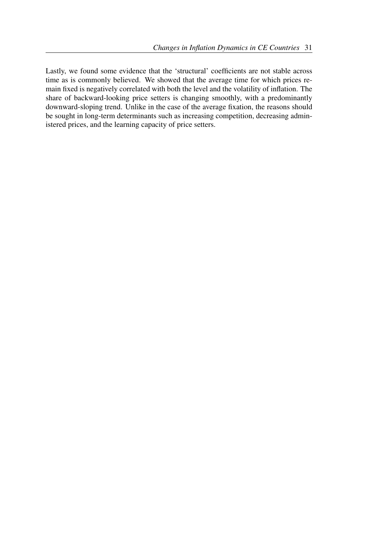Lastly, we found some evidence that the 'structural' coefficients are not stable across time as is commonly believed. We showed that the average time for which prices remain fixed is negatively correlated with both the level and the volatility of inflation. The share of backward-looking price setters is changing smoothly, with a predominantly downward-sloping trend. Unlike in the case of the average fixation, the reasons should be sought in long-term determinants such as increasing competition, decreasing administered prices, and the learning capacity of price setters.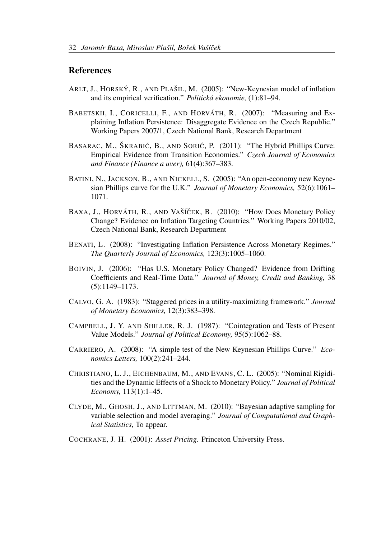#### References

- ARLT, J., HORSKÝ, R., AND PLAŠIL, M. (2005): "New-Keynesian model of inflation and its empirical verification." *Politická ekonomie*, (1):81–94.
- BABETSKII, I., CORICELLI, F., AND HORVÁTH, R. (2007): "Measuring and Explaining Inflation Persistence: Disaggregate Evidence on the Czech Republic." Working Papers 2007/1, Czech National Bank, Research Department
- BASARAC, M., ŠKRABIĆ, B., AND SORIĆ, P. (2011): "The Hybrid Phillips Curve: Empirical Evidence from Transition Economies." *Czech Journal of Economics and Finance (Finance a uver),* 61(4):367–383.
- BATINI, N., JACKSON, B., AND NICKELL, S. (2005): "An open-economy new Keynesian Phillips curve for the U.K." *Journal of Monetary Economics,* 52(6):1061– 1071.
- BAXA, J., HORVÁTH, R., AND VAŠÍČEK, B. (2010): "How Does Monetary Policy Change? Evidence on Inflation Targeting Countries." Working Papers 2010/02, Czech National Bank, Research Department
- BENATI, L. (2008): "Investigating Inflation Persistence Across Monetary Regimes." *The Quarterly Journal of Economics,* 123(3):1005–1060.
- BOIVIN, J. (2006): "Has U.S. Monetary Policy Changed? Evidence from Drifting Coefficients and Real-Time Data." *Journal of Money, Credit and Banking,* 38 (5):1149–1173.
- CALVO, G. A. (1983): "Staggered prices in a utility-maximizing framework." *Journal of Monetary Economics,* 12(3):383–398.
- CAMPBELL, J. Y. AND SHILLER, R. J. (1987): "Cointegration and Tests of Present Value Models." *Journal of Political Economy,* 95(5):1062–88.
- CARRIERO, A. (2008): "A simple test of the New Keynesian Phillips Curve." *Economics Letters,* 100(2):241–244.
- CHRISTIANO, L. J., EICHENBAUM, M., AND EVANS, C. L. (2005): "Nominal Rigidities and the Dynamic Effects of a Shock to Monetary Policy." *Journal of Political Economy,* 113(1):1–45.
- CLYDE, M., GHOSH, J., AND LITTMAN, M. (2010): "Bayesian adaptive sampling for variable selection and model averaging." *Journal of Computational and Graphical Statistics,* To appear.
- COCHRANE, J. H. (2001): *Asset Pricing.* Princeton University Press.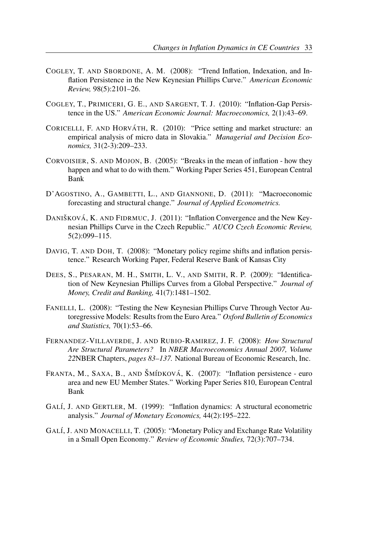- COGLEY, T. AND SBORDONE, A. M. (2008): "Trend Inflation, Indexation, and Inflation Persistence in the New Keynesian Phillips Curve." *American Economic Review,* 98(5):2101–26.
- COGLEY, T., PRIMICERI, G. E., AND SARGENT, T. J. (2010): "Inflation-Gap Persistence in the US." *American Economic Journal: Macroeconomics,* 2(1):43–69.
- CORICELLI, F. AND HORVÁTH, R.  $(2010)$ : "Price setting and market structure: an empirical analysis of micro data in Slovakia." *Managerial and Decision Economics,* 31(2-3):209–233.
- CORVOISIER, S. AND MOJON, B. (2005): "Breaks in the mean of inflation how they happen and what to do with them." Working Paper Series 451, European Central Bank
- D'AGOSTINO, A., GAMBETTI, L., AND GIANNONE, D. (2011): "Macroeconomic forecasting and structural change." *Journal of Applied Econometrics.*
- DANIŠKOVÁ, K. AND FIDRMUC, J. (2011): "Inflation Convergence and the New Keynesian Phillips Curve in the Czech Republic." *AUCO Czech Economic Review,* 5(2):099–115.
- DAVIG, T. AND DOH, T. (2008): "Monetary policy regime shifts and inflation persistence." Research Working Paper, Federal Reserve Bank of Kansas City
- DEES, S., PESARAN, M. H., SMITH, L. V., AND SMITH, R. P. (2009): "Identification of New Keynesian Phillips Curves from a Global Perspective." *Journal of Money, Credit and Banking,* 41(7):1481–1502.
- FANELLI, L. (2008): "Testing the New Keynesian Phillips Curve Through Vector Autoregressive Models: Results from the Euro Area." *Oxford Bulletin of Economics and Statistics,* 70(1):53–66.
- FERNANDEZ-VILLAVERDE, J. AND RUBIO-RAMIREZ, J. F. (2008): *How Structural Are Structural Parameters?* In *NBER Macroeconomics Annual 2007, Volume 22*NBER Chapters, *pages 83–137.* National Bureau of Economic Research, Inc.
- FRANTA, M., SAXA, B., AND ŠMÍDKOVÁ, K. (2007): "Inflation persistence euro area and new EU Member States." Working Paper Series 810, European Central Bank
- GALÍ, J. AND GERTLER, M. (1999): "Inflation dynamics: A structural econometric analysis." *Journal of Monetary Economics,* 44(2):195–222.
- GALÍ, J. AND MONACELLI, T. (2005): "Monetary Policy and Exchange Rate Volatility in a Small Open Economy." *Review of Economic Studies,* 72(3):707–734.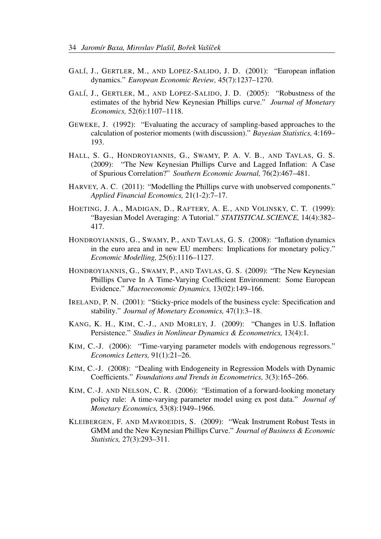- GALÍ, J., GERTLER, M., AND LOPEZ-SALIDO, J. D. (2001): "European inflation dynamics." *European Economic Review,* 45(7):1237–1270.
- GALÍ, J., GERTLER, M., AND LOPEZ-SALIDO, J. D. (2005): "Robustness of the estimates of the hybrid New Keynesian Phillips curve." *Journal of Monetary Economics,* 52(6):1107–1118.
- GEWEKE, J. (1992): "Evaluating the accuracy of sampling-based approaches to the calculation of posterior moments (with discussion)." *Bayesian Statistics,* 4:169– 193.
- HALL, S. G., HONDROYIANNIS, G., SWAMY, P. A. V. B., AND TAVLAS, G. S. (2009): "The New Keynesian Phillips Curve and Lagged Inflation: A Case of Spurious Correlation?" *Southern Economic Journal,* 76(2):467–481.
- HARVEY, A. C. (2011): "Modelling the Phillips curve with unobserved components." *Applied Financial Economics,* 21(1-2):7–17.
- HOETING, J. A., MADIGAN, D., RAFTERY, A. E., AND VOLINSKY, C. T. (1999): "Bayesian Model Averaging: A Tutorial." *STATISTICAL SCIENCE,* 14(4):382– 417.
- HONDROYIANNIS, G., SWAMY, P., AND TAVLAS, G. S. (2008): "Inflation dynamics in the euro area and in new EU members: Implications for monetary policy." *Economic Modelling,* 25(6):1116–1127.
- HONDROYIANNIS, G., SWAMY, P., AND TAVLAS, G. S. (2009): "The New Keynesian Phillips Curve In A Time-Varying Coefficient Environment: Some European Evidence." *Macroeconomic Dynamics,* 13(02):149–166.
- IRELAND, P. N. (2001): "Sticky-price models of the business cycle: Specification and stability." *Journal of Monetary Economics,* 47(1):3–18.
- KANG, K. H., KIM, C.-J., AND MORLEY, J. (2009): "Changes in U.S. Inflation Persistence." *Studies in Nonlinear Dynamics & Econometrics,* 13(4):1.
- KIM, C.-J. (2006): "Time-varying parameter models with endogenous regressors." *Economics Letters,* 91(1):21–26.
- KIM, C.-J. (2008): "Dealing with Endogeneity in Regression Models with Dynamic Coefficients." *Foundations and Trends in Econometrics,* 3(3):165–266.
- KIM, C.-J. AND NELSON, C. R. (2006): "Estimation of a forward-looking monetary policy rule: A time-varying parameter model using ex post data." *Journal of Monetary Economics,* 53(8):1949–1966.
- KLEIBERGEN, F. AND MAVROEIDIS, S. (2009): "Weak Instrument Robust Tests in GMM and the New Keynesian Phillips Curve." *Journal of Business & Economic Statistics,* 27(3):293–311.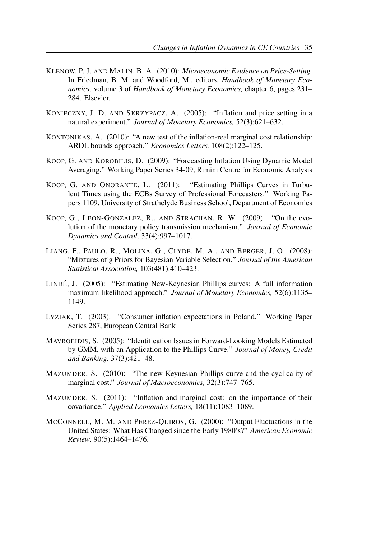- KLENOW, P. J. AND MALIN, B. A. (2010): *Microeconomic Evidence on Price-Setting.* In Friedman, B. M. and Woodford, M., editors, *Handbook of Monetary Economics,* volume 3 of *Handbook of Monetary Economics,* chapter 6, pages 231– 284. Elsevier.
- KONIECZNY, J. D. AND SKRZYPACZ, A. (2005): "Inflation and price setting in a natural experiment." *Journal of Monetary Economics,* 52(3):621–632.
- KONTONIKAS, A. (2010): "A new test of the inflation-real marginal cost relationship: ARDL bounds approach." *Economics Letters,* 108(2):122–125.
- KOOP, G. AND KOROBILIS, D. (2009): "Forecasting Inflation Using Dynamic Model Averaging." Working Paper Series 34-09, Rimini Centre for Economic Analysis
- KOOP, G. AND ONORANTE, L. (2011): "Estimating Phillips Curves in Turbulent Times using the ECBs Survey of Professional Forecasters." Working Papers 1109, University of Strathclyde Business School, Department of Economics
- KOOP, G., LEON-GONZALEZ, R., AND STRACHAN, R. W. (2009): "On the evolution of the monetary policy transmission mechanism." *Journal of Economic Dynamics and Control,* 33(4):997–1017.
- LIANG, F., PAULO, R., MOLINA, G., CLYDE, M. A., AND BERGER, J. O. (2008): "Mixtures of g Priors for Bayesian Variable Selection." *Journal of the American Statistical Association,* 103(481):410–423.
- LINDÉ, J. (2005): "Estimating New-Keynesian Phillips curves: A full information maximum likelihood approach." *Journal of Monetary Economics,* 52(6):1135– 1149.
- LYZIAK, T. (2003): "Consumer inflation expectations in Poland." Working Paper Series 287, European Central Bank
- MAVROEIDIS, S. (2005): "Identification Issues in Forward-Looking Models Estimated by GMM, with an Application to the Phillips Curve." *Journal of Money, Credit and Banking,* 37(3):421–48.
- MAZUMDER, S. (2010): "The new Keynesian Phillips curve and the cyclicality of marginal cost." *Journal of Macroeconomics,* 32(3):747–765.
- MAZUMDER, S. (2011): "Inflation and marginal cost: on the importance of their covariance." *Applied Economics Letters,* 18(11):1083–1089.
- MCCONNELL, M. M. AND PEREZ-QUIROS, G. (2000): "Output Fluctuations in the United States: What Has Changed since the Early 1980's?" *American Economic Review,* 90(5):1464–1476.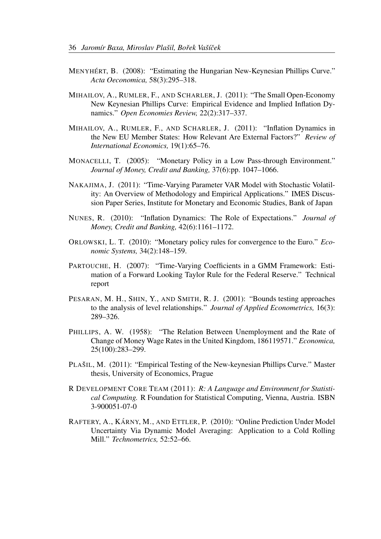- MENYHÉRT, B. (2008): "Estimating the Hungarian New-Keynesian Phillips Curve." *Acta Oeconomica,* 58(3):295–318.
- MIHAILOV, A., RUMLER, F., AND SCHARLER, J. (2011): "The Small Open-Economy New Keynesian Phillips Curve: Empirical Evidence and Implied Inflation Dynamics." *Open Economies Review,* 22(2):317–337.
- MIHAILOV, A., RUMLER, F., AND SCHARLER, J. (2011): "Inflation Dynamics in the New EU Member States: How Relevant Are External Factors?" *Review of International Economics,* 19(1):65–76.
- MONACELLI, T. (2005): "Monetary Policy in a Low Pass-through Environment." *Journal of Money, Credit and Banking,* 37(6):pp. 1047–1066.
- NAKAJIMA, J. (2011): "Time-Varying Parameter VAR Model with Stochastic Volatility: An Overview of Methodology and Empirical Applications." IMES Discussion Paper Series, Institute for Monetary and Economic Studies, Bank of Japan
- NUNES, R. (2010): "Inflation Dynamics: The Role of Expectations." *Journal of Money, Credit and Banking,* 42(6):1161–1172.
- ORLOWSKI, L. T. (2010): "Monetary policy rules for convergence to the Euro." *Economic Systems,* 34(2):148–159.
- PARTOUCHE, H. (2007): "Time-Varying Coefficients in a GMM Framework: Estimation of a Forward Looking Taylor Rule for the Federal Reserve." Technical report
- PESARAN, M. H., SHIN, Y., AND SMITH, R. J. (2001): "Bounds testing approaches to the analysis of level relationships." *Journal of Applied Econometrics,* 16(3): 289–326.
- PHILLIPS, A. W. (1958): "The Relation Between Unemployment and the Rate of Change of Money Wage Rates in the United Kingdom, 186119571." *Economica,* 25(100):283–299.
- PLAŠIL, M. (2011): "Empirical Testing of the New-keynesian Phillips Curve." Master thesis, University of Economics, Prague
- R DEVELOPMENT CORE TEAM (2011): *R: A Language and Environment for Statistical Computing.* R Foundation for Statistical Computing, Vienna, Austria. ISBN 3-900051-07-0
- RAFTERY, A., KÁRNY, M., AND ETTLER, P. (2010): "Online Prediction Under Model Uncertainty Via Dynamic Model Averaging: Application to a Cold Rolling Mill." *Technometrics,* 52:52–66.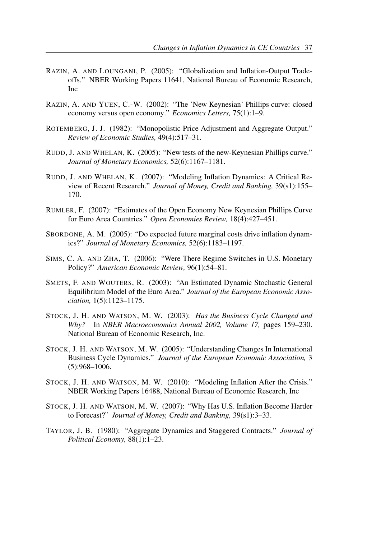- RAZIN, A. AND LOUNGANI, P. (2005): "Globalization and Inflation-Output Tradeoffs." NBER Working Papers 11641, National Bureau of Economic Research, Inc
- RAZIN, A. AND YUEN, C.-W. (2002): "The 'New Keynesian' Phillips curve: closed economy versus open economy." *Economics Letters,* 75(1):1–9.
- ROTEMBERG, J. J. (1982): "Monopolistic Price Adjustment and Aggregate Output." *Review of Economic Studies,* 49(4):517–31.
- RUDD, J. AND WHELAN, K. (2005): "New tests of the new-Keynesian Phillips curve." *Journal of Monetary Economics,* 52(6):1167–1181.
- RUDD, J. AND WHELAN, K. (2007): "Modeling Inflation Dynamics: A Critical Review of Recent Research." *Journal of Money, Credit and Banking,* 39(s1):155– 170.
- RUMLER, F. (2007): "Estimates of the Open Economy New Keynesian Phillips Curve for Euro Area Countries." *Open Economies Review,* 18(4):427–451.
- SBORDONE, A. M. (2005): "Do expected future marginal costs drive inflation dynamics?" *Journal of Monetary Economics,* 52(6):1183–1197.
- SIMS, C. A. AND ZHA, T. (2006): "Were There Regime Switches in U.S. Monetary Policy?" *American Economic Review,* 96(1):54–81.
- SMETS, F. AND WOUTERS, R. (2003): "An Estimated Dynamic Stochastic General Equilibrium Model of the Euro Area." *Journal of the European Economic Association,* 1(5):1123–1175.
- STOCK, J. H. AND WATSON, M. W. (2003): *Has the Business Cycle Changed and Why?* In *NBER Macroeconomics Annual 2002, Volume 17,* pages 159–230. National Bureau of Economic Research, Inc.
- STOCK, J. H. AND WATSON, M. W. (2005): "Understanding Changes In International Business Cycle Dynamics." *Journal of the European Economic Association,* 3 (5):968–1006.
- STOCK, J. H. AND WATSON, M. W. (2010): "Modeling Inflation After the Crisis." NBER Working Papers 16488, National Bureau of Economic Research, Inc
- STOCK, J. H. AND WATSON, M. W. (2007): "Why Has U.S. Inflation Become Harder to Forecast?" *Journal of Money, Credit and Banking,* 39(s1):3–33.
- TAYLOR, J. B. (1980): "Aggregate Dynamics and Staggered Contracts." *Journal of Political Economy,* 88(1):1–23.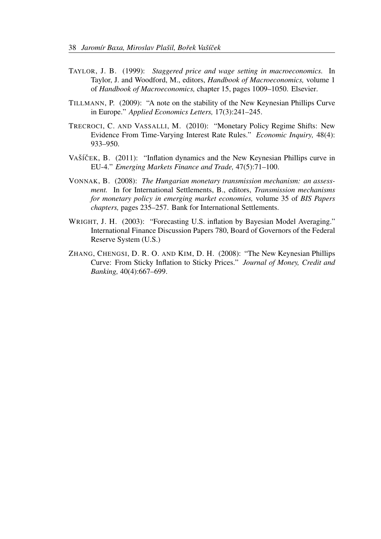- TAYLOR, J. B. (1999): *Staggered price and wage setting in macroeconomics.* In Taylor, J. and Woodford, M., editors, *Handbook of Macroeconomics,* volume 1 of *Handbook of Macroeconomics,* chapter 15, pages 1009–1050. Elsevier.
- TILLMANN, P. (2009): "A note on the stability of the New Keynesian Phillips Curve in Europe." *Applied Economics Letters,* 17(3):241–245.
- TRECROCI, C. AND VASSALLI, M. (2010): "Monetary Policy Regime Shifts: New Evidence From Time-Varying Interest Rate Rules." *Economic Inquiry,* 48(4): 933–950.
- VAŠÍČEK, B. (2011): "Inflation dynamics and the New Keynesian Phillips curve in EU-4." *Emerging Markets Finance and Trade,* 47(5):71–100.
- VONNAK, B. (2008): *The Hungarian monetary transmission mechanism: an assessment.* In for International Settlements, B., editors, *Transmission mechanisms for monetary policy in emerging market economies,* volume 35 of *BIS Papers chapters,* pages 235–257. Bank for International Settlements.
- WRIGHT, J. H. (2003): "Forecasting U.S. inflation by Bayesian Model Averaging." International Finance Discussion Papers 780, Board of Governors of the Federal Reserve System (U.S.)
- ZHANG, CHENGSI, D. R. O. AND KIM, D. H. (2008): "The New Keynesian Phillips Curve: From Sticky Inflation to Sticky Prices." *Journal of Money, Credit and Banking,* 40(4):667–699.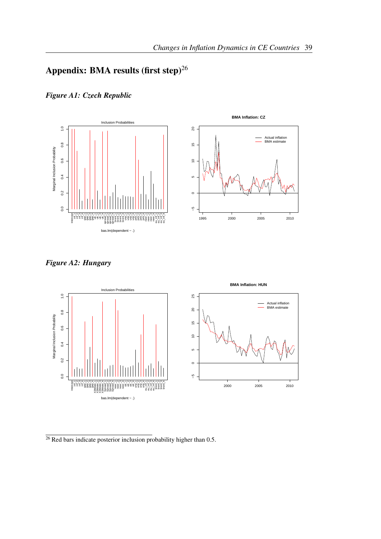# Appendix: BMA results (first step) $^{26}$

*Figure A1: Czech Republic*





*Figure A2: Hungary*



 $\frac{1}{26}$  Red bars indicate posterior inclusion probability higher than 0.5.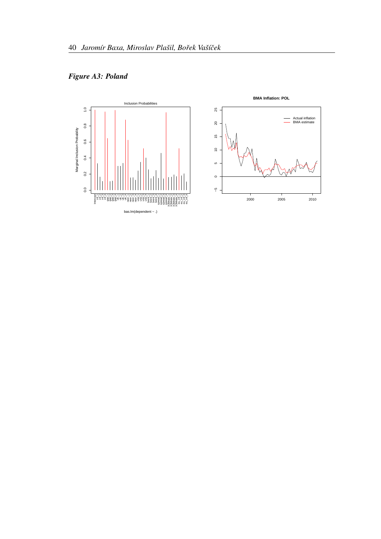*Figure A3: Poland*

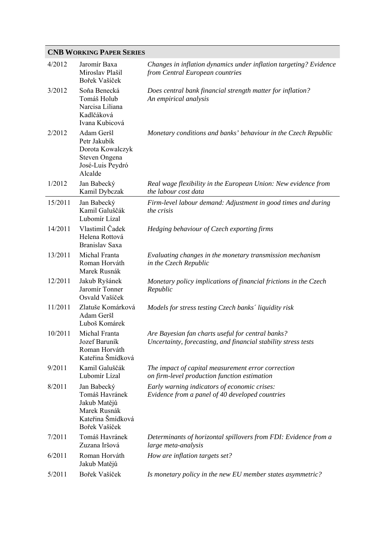### **CNB WORKING PAPER SERIES**

| 4/2012  | Jaromír Baxa<br>Miroslav Plašil<br>Bořek Vašíček                                                    | Changes in inflation dynamics under inflation targeting? Evidence<br>from Central European countries                |
|---------|-----------------------------------------------------------------------------------------------------|---------------------------------------------------------------------------------------------------------------------|
| 3/2012  | Soňa Benecká<br>Tomáš Holub<br>Narcisa Liliana<br>Kadlčáková<br>Ivana Kubicová                      | Does central bank financial strength matter for inflation?<br>An empirical analysis                                 |
| 2/2012  | Adam Geršl<br>Petr Jakubík<br>Dorota Kowalczyk<br>Steven Ongena<br>José-Luis Peydró<br>Alcalde      | Monetary conditions and banks' behaviour in the Czech Republic                                                      |
| 1/2012  | Jan Babecký<br>Kamil Dybczak                                                                        | Real wage flexibility in the European Union: New evidence from<br>the labour cost data                              |
| 15/2011 | Jan Babecký<br>Kamil Galuščák<br>Lubomír Lízal                                                      | Firm-level labour demand: Adjustment in good times and during<br><i>the crisis</i>                                  |
| 14/2011 | Vlastimil Čadek<br>Helena Rottová<br>Branislav Saxa                                                 | Hedging behaviour of Czech exporting firms                                                                          |
| 13/2011 | Michal Franta<br>Roman Horváth<br>Marek Rusnák                                                      | Evaluating changes in the monetary transmission mechanism<br>in the Czech Republic                                  |
| 12/2011 | Jakub Ryšánek<br>Jaromír Tonner<br>Osvald Vašíček                                                   | Monetary policy implications of financial frictions in the Czech<br>Republic                                        |
| 11/2011 | Zlatuše Komárková<br>Adam Geršl<br>Luboš Komárek                                                    | Models for stress testing Czech banks' liquidity risk                                                               |
| 10/2011 | Michal Franta<br>Jozef Baruník<br>Roman Horváth<br>Kateřina Šmídková                                | Are Bayesian fan charts useful for central banks?<br>Uncertainty, forecasting, and financial stability stress tests |
| 9/2011  | Kamil Galuščák<br>Lubomír Lízal                                                                     | The impact of capital measurement error correction<br>on firm-level production function estimation                  |
| 8/2011  | Jan Babecký<br>Tomáš Havránek<br>Jakub Matějů<br>Marek Rusnák<br>Kateřina Šmídková<br>Bořek Vašíček | Early warning indicators of economic crises:<br>Evidence from a panel of 40 developed countries                     |
| 7/2011  | Tomáš Havránek<br>Zuzana Iršová                                                                     | Determinants of horizontal spillovers from FDI: Evidence from a<br>large meta-analysis                              |
| 6/2011  | Roman Horváth<br>Jakub Matějů                                                                       | How are inflation targets set?                                                                                      |
| 5/2011  | Bořek Vašíček                                                                                       | Is monetary policy in the new EU member states asymmetric?                                                          |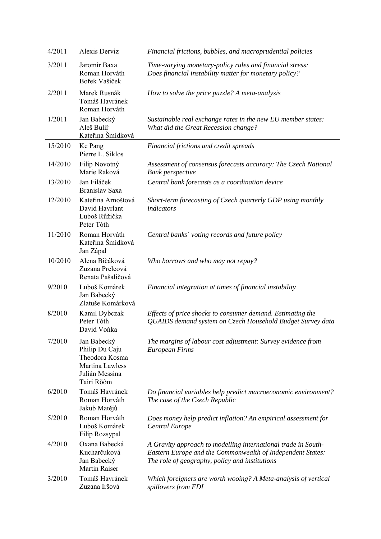| 4/2011  | Alexis Derviz                                                                                      | Financial frictions, bubbles, and macroprudential policies                                                                                                                    |
|---------|----------------------------------------------------------------------------------------------------|-------------------------------------------------------------------------------------------------------------------------------------------------------------------------------|
| 3/2011  | Jaromír Baxa<br>Roman Horváth<br>Bořek Vašíček                                                     | Time-varying monetary-policy rules and financial stress:<br>Does financial instability matter for monetary policy?                                                            |
| 2/2011  | Marek Rusnák<br>Tomáš Havránek<br>Roman Horváth                                                    | How to solve the price puzzle? A meta-analysis                                                                                                                                |
| 1/2011  | Jan Babecký<br>Aleš Bulíř<br>Kateřina Šmídková                                                     | Sustainable real exchange rates in the new EU member states:<br>What did the Great Recession change?                                                                          |
| 15/2010 | Ke Pang<br>Pierre L. Siklos                                                                        | Financial frictions and credit spreads                                                                                                                                        |
| 14/2010 | Filip Novotný<br>Marie Raková                                                                      | Assessment of consensus forecasts accuracy: The Czech National<br><b>Bank</b> perspective                                                                                     |
| 13/2010 | Jan Filáček<br>Branislav Saxa                                                                      | Central bank forecasts as a coordination device                                                                                                                               |
| 12/2010 | Kateřina Arnoštová<br>David Havrlant<br>Luboš Růžička<br>Peter Tóth                                | Short-term forecasting of Czech quarterly GDP using monthly<br>indicators                                                                                                     |
| 11/2010 | Roman Horváth<br>Kateřina Šmídková<br>Jan Zápal                                                    | Central banks' voting records and future policy                                                                                                                               |
| 10/2010 | Alena Bičáková<br>Zuzana Prelcová<br>Renata Pašaličová                                             | Who borrows and who may not repay?                                                                                                                                            |
| 9/2010  | Luboš Komárek<br>Jan Babecký<br>Zlatuše Komárková                                                  | Financial integration at times of financial instability                                                                                                                       |
| 8/2010  | Kamil Dybczak<br>Peter Tóth<br>David Voňka                                                         | Effects of price shocks to consumer demand. Estimating the<br>QUAIDS demand system on Czech Household Budget Survey data                                                      |
| 7/2010  | Jan Babecký<br>Philip Du Caju<br>Theodora Kosma<br>Martina Lawless<br>Julián Messina<br>Tairi Rõõm | The margins of labour cost adjustment: Survey evidence from<br><b>European Firms</b>                                                                                          |
| 6/2010  | Tomáš Havránek<br>Roman Horváth<br>Jakub Matějů                                                    | Do financial variables help predict macroeconomic environment?<br>The case of the Czech Republic                                                                              |
| 5/2010  | Roman Horváth<br>Luboš Komárek<br>Filip Rozsypal                                                   | Does money help predict inflation? An empirical assessment for<br>Central Europe                                                                                              |
| 4/2010  | Oxana Babecká<br>Kucharčuková<br>Jan Babecký<br>Martin Raiser                                      | A Gravity approach to modelling international trade in South-<br>Eastern Europe and the Commonwealth of Independent States:<br>The role of geography, policy and institutions |
| 3/2010  | Tomáš Havránek<br>Zuzana Iršová                                                                    | Which foreigners are worth wooing? A Meta-analysis of vertical<br>spillovers from FDI                                                                                         |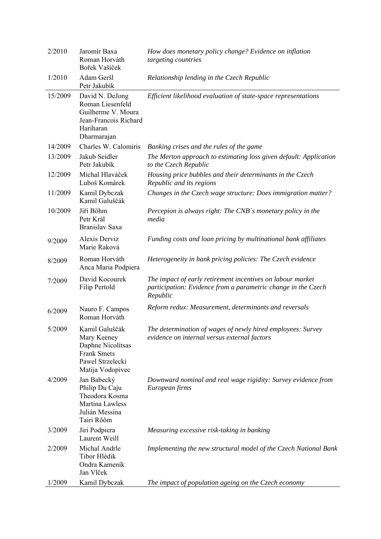| 2/2010  | Jaromír Baxa<br>Roman Horváth<br>Bořek Vašíček                                                                   | How does monetary policy change? Evidence on inflation<br>targeting countries                                                           |
|---------|------------------------------------------------------------------------------------------------------------------|-----------------------------------------------------------------------------------------------------------------------------------------|
| 1/2010  | Adam Geršl<br>Petr Jakubík                                                                                       | Relationship lending in the Czech Republic                                                                                              |
| 15/2009 | David N. DeJong<br>Roman Liesenfeld<br>Guilherme V. Moura<br>Jean-Francois Richard<br>Hariharan<br>Dharmarajan   | Efficient likelihood evaluation of state-space representations                                                                          |
| 14/2009 | Charles W. Calomiris                                                                                             | Banking crises and the rules of the game                                                                                                |
| 13/2009 | Jakub Seidler<br>Petr Jakubík                                                                                    | The Merton approach to estimating loss given default: Application<br>to the Czech Republic                                              |
| 12/2009 | Michal Hlaváček<br>Luboš Komárek                                                                                 | Housing price bubbles and their determinants in the Czech<br>Republic and its regions                                                   |
| 11/2009 | Kamil Dybczak<br>Kamil Galuščák                                                                                  | Changes in the Czech wage structure: Does immigration matter?                                                                           |
| 10/2009 | Jiří Böhm<br>Petr Král<br>Branislav Saxa                                                                         | Percepion is always right: The CNB's monetary policy in the<br>media                                                                    |
| 9/2009  | Alexis Derviz<br>Marie Raková                                                                                    | Funding costs and loan pricing by multinational bank affiliates                                                                         |
| 8/2009  | Roman Horváth<br>Anca Maria Podpiera                                                                             | Heterogeneity in bank pricing policies: The Czech evidence                                                                              |
| 7/2009  | David Kocourek<br>Filip Pertold                                                                                  | The impact of early retirement incentives on labour market<br>participation: Evidence from a parametric change in the Czech<br>Republic |
| 6/2009  | Nauro F. Campos<br>Roman Horváth                                                                                 | Reform redux: Measurement, determinants and reversals                                                                                   |
| 5/2009  | Kamil Galuščák<br>Mary Keeney<br>Daphne Nicolitsas<br><b>Frank Smets</b><br>Pawel Strzelecki<br>Matija Vodopivec | The determination of wages of newly hired employees: Survey<br>evidence on internal versus external factors                             |
| 4/2009  | Jan Babecký<br>Philip Du Caju<br>Theodora Kosma<br>Martina Lawless<br>Julián Messina<br>Tairi Rõõm               | Downward nominal and real wage rigidity: Survey evidence from<br>European firms                                                         |
| 3/2009  | Jiri Podpiera<br>Laurent Weill                                                                                   | Measuring excessive risk-taking in banking                                                                                              |
|         |                                                                                                                  |                                                                                                                                         |
| 2/2009  | Michal Andrle<br>Tibor Hlédik<br>Ondra Kameník<br>Jan Vlček                                                      | Implementing the new structural model of the Czech National Bank                                                                        |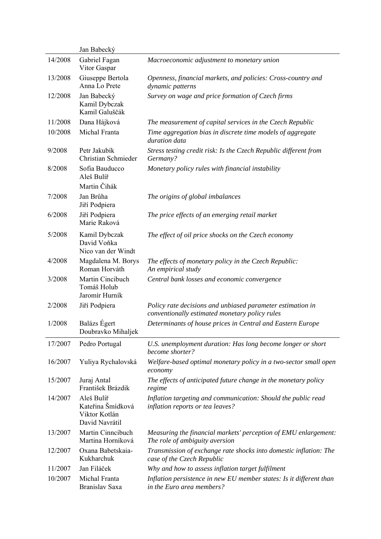|         | Jan Babecký                                                        |                                                                                                              |
|---------|--------------------------------------------------------------------|--------------------------------------------------------------------------------------------------------------|
| 14/2008 | Gabriel Fagan<br>Vitor Gaspar                                      | Macroeconomic adjustment to monetary union                                                                   |
| 13/2008 | Giuseppe Bertola<br>Anna Lo Prete                                  | Openness, financial markets, and policies: Cross-country and<br>dynamic patterns                             |
| 12/2008 | Jan Babecký<br>Kamil Dybczak<br>Kamil Galuščák                     | Survey on wage and price formation of Czech firms                                                            |
| 11/2008 | Dana Hájková                                                       | The measurement of capital services in the Czech Republic                                                    |
| 10/2008 | Michal Franta                                                      | Time aggregation bias in discrete time models of aggregate<br>duration data                                  |
| 9/2008  | Petr Jakubík<br>Christian Schmieder                                | Stress testing credit risk: Is the Czech Republic different from<br>Germany?                                 |
| 8/2008  | Sofia Bauducco<br>Aleš Bulíř<br>Martin Čihák                       | Monetary policy rules with financial instability                                                             |
| 7/2008  | Jan Brůha<br>Jiří Podpiera                                         | The origins of global imbalances                                                                             |
| 6/2008  | Jiří Podpiera<br>Marie Raková                                      | The price effects of an emerging retail market                                                               |
| 5/2008  | Kamil Dybczak<br>David Voňka<br>Nico van der Windt                 | The effect of oil price shocks on the Czech economy                                                          |
| 4/2008  | Magdalena M. Borys<br>Roman Horváth                                | The effects of monetary policy in the Czech Republic:<br>An empirical study                                  |
| 3/2008  | Martin Cincibuch<br>Tomáš Holub<br>Jaromír Hurník                  | Central bank losses and economic convergence                                                                 |
| 2/2008  | Jiří Podpiera                                                      | Policy rate decisions and unbiased parameter estimation in<br>conventionally estimated monetary policy rules |
| 1/2008  | Balázs Égert<br>Doubravko Mihaljek                                 | Determinants of house prices in Central and Eastern Europe                                                   |
| 17/2007 | Pedro Portugal                                                     | U.S. unemployment duration: Has long become longer or short<br>become shorter?                               |
| 16/2007 | Yuliya Rychalovská                                                 | Welfare-based optimal monetary policy in a two-sector small open<br>economy                                  |
| 15/2007 | Juraj Antal<br>František Brázdik                                   | The effects of anticipated future change in the monetary policy<br>regime                                    |
| 14/2007 | Aleš Bulíř<br>Kateřina Šmídková<br>Viktor Kotlán<br>David Navrátil | Inflation targeting and communication: Should the public read<br>inflation reports or tea leaves?            |
| 13/2007 | Martin Cinneibuch<br>Martina Horníková                             | Measuring the financial markets' perception of EMU enlargement:<br>The role of ambiguity aversion            |
| 12/2007 | Oxana Babetskaia-<br>Kukharchuk                                    | Transmission of exchange rate shocks into domestic inflation: The<br>case of the Czech Republic              |
| 11/2007 | Jan Filáček                                                        | Why and how to assess inflation target fulfilment                                                            |
| 10/2007 | Michal Franta<br>Branislav Saxa                                    | Inflation persistence in new EU member states: Is it different than<br>in the Euro area members?             |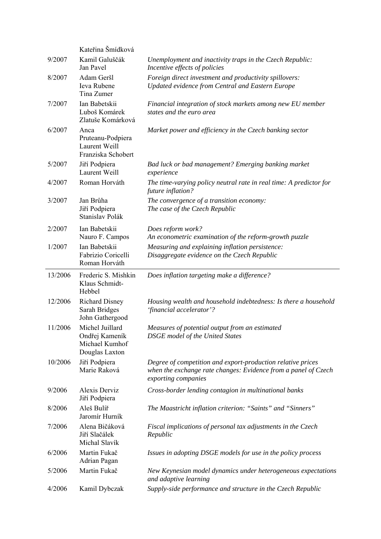|         | Kateřina Šmídková                                                     |                                                                                                                                                      |
|---------|-----------------------------------------------------------------------|------------------------------------------------------------------------------------------------------------------------------------------------------|
| 9/2007  | Kamil Galuščák<br>Jan Pavel                                           | Unemployment and inactivity traps in the Czech Republic:<br>Incentive effects of policies                                                            |
| 8/2007  | Adam Geršl<br>Ieva Rubene<br>Tina Zumer                               | Foreign direct investment and productivity spillovers:<br>Updated evidence from Central and Eastern Europe                                           |
| 7/2007  | Ian Babetskii<br>Luboš Komárek<br>Zlatuše Komárková                   | Financial integration of stock markets among new EU member<br>states and the euro area                                                               |
| 6/2007  | Anca<br>Pruteanu-Podpiera<br>Laurent Weill<br>Franziska Schobert      | Market power and efficiency in the Czech banking sector                                                                                              |
| 5/2007  | Jiří Podpiera<br>Laurent Weill                                        | Bad luck or bad management? Emerging banking market<br>experience                                                                                    |
| 4/2007  | Roman Horváth                                                         | The time-varying policy neutral rate in real time: A predictor for<br>future inflation?                                                              |
| 3/2007  | Jan Brůha<br>Jiří Podpiera<br>Stanislav Polák                         | The convergence of a transition economy:<br>The case of the Czech Republic                                                                           |
| 2/2007  | Ian Babetskii<br>Nauro F. Campos                                      | Does reform work?<br>An econometric examination of the reform-growth puzzle                                                                          |
| 1/2007  | Ian Babetskii<br>Fabrizio Coricelli<br>Roman Horváth                  | Measuring and explaining inflation persistence:<br>Disaggregate evidence on the Czech Republic                                                       |
| 13/2006 | Frederic S. Mishkin<br>Klaus Schmidt-<br>Hebbel                       | Does inflation targeting make a difference?                                                                                                          |
| 12/2006 | <b>Richard Disney</b><br>Sarah Bridges<br>John Gathergood             | Housing wealth and household indebtedness: Is there a household<br>'financial accelerator'?                                                          |
| 11/2006 | Michel Juillard<br>Ondřej Kameník<br>Michael Kumhof<br>Douglas Laxton | Measures of potential output from an estimated<br><b>DSGE</b> model of the United States                                                             |
| 10/2006 | Jiří Podpiera<br>Marie Raková                                         | Degree of competition and export-production relative prices<br>when the exchange rate changes: Evidence from a panel of Czech<br>exporting companies |
| 9/2006  | Alexis Derviz<br>Jiří Podpiera                                        | Cross-border lending contagion in multinational banks                                                                                                |
| 8/2006  | Aleš Bulíř<br>Jaromír Hurník                                          | The Maastricht inflation criterion: "Saints" and "Sinners"                                                                                           |
| 7/2006  | Alena Bičáková<br>Jiří Slačálek<br>Michal Slavík                      | Fiscal implications of personal tax adjustments in the Czech<br>Republic                                                                             |
| 6/2006  | Martin Fukač<br>Adrian Pagan                                          | Issues in adopting DSGE models for use in the policy process                                                                                         |
| 5/2006  | Martin Fukač                                                          | New Keynesian model dynamics under heterogeneous expectations<br>and adaptive learning                                                               |
| 4/2006  | Kamil Dybczak                                                         | Supply-side performance and structure in the Czech Republic                                                                                          |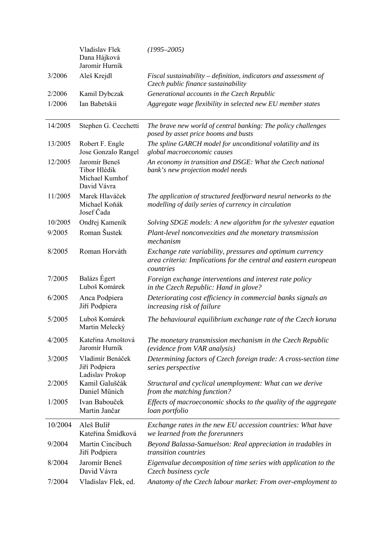|         | Vladislav Flek<br>Dana Hájková<br>Jaromír Hurník               | $(1995 - 2005)$                                                                                                                            |
|---------|----------------------------------------------------------------|--------------------------------------------------------------------------------------------------------------------------------------------|
| 3/2006  | Aleš Krejdl                                                    | Fiscal sustainability – definition, indicators and assessment of<br>Czech public finance sustainability                                    |
| 2/2006  | Kamil Dybczak                                                  | Generational accounts in the Czech Republic                                                                                                |
| 1/2006  | Ian Babetskii                                                  | Aggregate wage flexibility in selected new EU member states                                                                                |
| 14/2005 | Stephen G. Cecchetti                                           | The brave new world of central banking: The policy challenges<br>posed by asset price booms and busts                                      |
| 13/2005 | Robert F. Engle<br>Jose Gonzalo Rangel                         | The spline GARCH model for unconditional volatility and its<br>global macroeconomic causes                                                 |
| 12/2005 | Jaromír Beneš<br>Tibor Hlédik<br>Michael Kumhof<br>David Vávra | An economy in transition and DSGE: What the Czech national<br>bank's new projection model needs                                            |
| 11/2005 | Marek Hlaváček<br>Michael Koňák<br>Josef Čada                  | The application of structured feedforward neural networks to the<br>modelling of daily series of currency in circulation                   |
| 10/2005 | Ondřej Kameník                                                 | Solving SDGE models: A new algorithm for the sylvester equation                                                                            |
| 9/2005  | Roman Šustek                                                   | Plant-level nonconvexities and the monetary transmission<br>mechanism                                                                      |
| 8/2005  | Roman Horváth                                                  | Exchange rate variability, pressures and optimum currency<br>area criteria: Implications for the central and eastern european<br>countries |
| 7/2005  | Balázs Égert<br>Luboš Komárek                                  | Foreign exchange interventions and interest rate policy<br>in the Czech Republic: Hand in glove?                                           |
| 6/2005  | Anca Podpiera<br>Jiří Podpiera                                 | Deteriorating cost efficiency in commercial banks signals an<br>increasing risk of failure                                                 |
| 5/2005  | Luboš Komárek<br>Martin Melecký                                | The behavioural equilibrium exchange rate of the Czech koruna                                                                              |
| 4/2005  | Kateřina Arnoštová<br>Jaromír Hurník                           | The monetary transmission mechanism in the Czech Republic<br>(evidence from VAR analysis)                                                  |
| 3/2005  | Vladimír Benáček<br>Jiří Podpiera<br>Ladislav Prokop           | Determining factors of Czech foreign trade: A cross-section time<br>series perspective                                                     |
| 2/2005  | Kamil Galuščák<br>Daniel Münich                                | Structural and cyclical unemployment: What can we derive<br>from the matching function?                                                    |
| 1/2005  | Ivan Babouček<br>Martin Jančar                                 | Effects of macroeconomic shocks to the quality of the aggregate<br>loan portfolio                                                          |
| 10/2004 | Aleš Bulíř<br>Kateřina Šmídková                                | Exchange rates in the new EU accession countries: What have<br>we learned from the forerunners                                             |
| 9/2004  | Martin Cincibuch<br>Jiří Podpiera                              | Beyond Balassa-Samuelson: Real appreciation in tradables in<br>transition countries                                                        |
| 8/2004  | Jaromír Beneš<br>David Vávra                                   | Eigenvalue decomposition of time series with application to the<br>Czech business cycle                                                    |
| 7/2004  | Vladislav Flek, ed.                                            | Anatomy of the Czech labour market: From over-employment to                                                                                |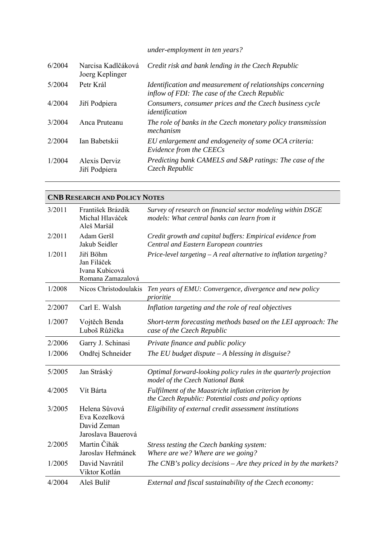*under-employment in ten years?* 

| 6/2004 | Narcisa Kadlčáková<br>Joerg Keplinger | Credit risk and bank lending in the Czech Republic                                                          |
|--------|---------------------------------------|-------------------------------------------------------------------------------------------------------------|
| 5/2004 | Petr Král                             | Identification and measurement of relationships concerning<br>inflow of FDI: The case of the Czech Republic |
| 4/2004 | Jiří Podpiera                         | Consumers, consumer prices and the Czech business cycle<br>identification                                   |
| 3/2004 | Anca Pruteanu                         | The role of banks in the Czech monetary policy transmission<br>mechanism                                    |
| 2/2004 | Ian Babetskii                         | EU enlargement and endogeneity of some OCA criteria:<br>Evidence from the CEECs                             |
| 1/2004 | Alexis Derviz<br>Jiří Podpiera        | Predicting bank CAMELS and S&P ratings: The case of the<br>Czech Republic                                   |

|        | <b>CNB RESEARCH AND POLICY NOTES</b>                                |                                                                                                               |
|--------|---------------------------------------------------------------------|---------------------------------------------------------------------------------------------------------------|
| 3/2011 | František Brázdik<br>Michal Hlaváček<br>Aleš Maršál                 | Survey of research on financial sector modeling within DSGE<br>models: What central banks can learn from it   |
| 2/2011 | Adam Geršl<br>Jakub Seidler                                         | Credit growth and capital buffers: Empirical evidence from<br>Central and Eastern European countries          |
| 1/2011 | Jiří Böhm<br>Jan Filáček<br>Ivana Kubicová<br>Romana Zamazalová     | Price-level targeting $-A$ real alternative to inflation targeting?                                           |
| 1/2008 | Nicos Christodoulakis                                               | Ten years of EMU: Convergence, divergence and new policy<br>prioritie                                         |
| 2/2007 | Carl E. Walsh                                                       | Inflation targeting and the role of real objectives                                                           |
| 1/2007 | Vojtěch Benda<br>Luboš Růžička                                      | Short-term forecasting methods based on the LEI approach: The<br>case of the Czech Republic                   |
| 2/2006 | Garry J. Schinasi                                                   | Private finance and public policy                                                                             |
| 1/2006 | Ondřej Schneider                                                    | The EU budget dispute $-A$ blessing in disguise?                                                              |
| 5/2005 | Jan Stráský                                                         | Optimal forward-looking policy rules in the quarterly projection<br>model of the Czech National Bank          |
| 4/2005 | Vít Bárta                                                           | Fulfilment of the Maastricht inflation criterion by<br>the Czech Republic: Potential costs and policy options |
| 3/2005 | Helena Sůvová<br>Eva Kozelková<br>David Zeman<br>Jaroslava Bauerová | Eligibility of external credit assessment institutions                                                        |
| 2/2005 | Martin Čihák<br>Jaroslav Heřmánek                                   | Stress testing the Czech banking system:<br>Where are we? Where are we going?                                 |
| 1/2005 | David Navrátil<br>Viktor Kotlán                                     | The CNB's policy decisions $-A$ re they priced in by the markets?                                             |
| 4/2004 | Aleš Bulíř                                                          | External and fiscal sustainability of the Czech economy:                                                      |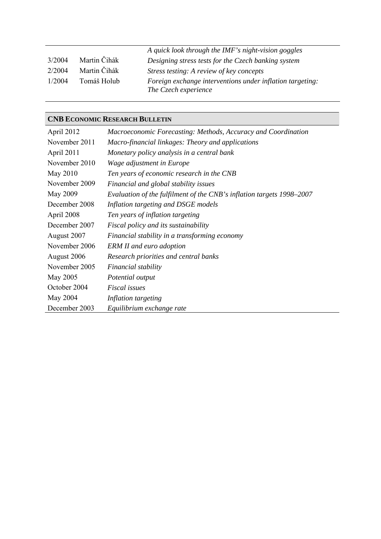|        |              | A quick look through the IMF's night-vision goggles                               |
|--------|--------------|-----------------------------------------------------------------------------------|
| 3/2004 | Martin Čihák | Designing stress tests for the Czech banking system                               |
| 2/2004 | Martin Čihák | Stress testing: A review of key concepts                                          |
| 1/2004 | Tomáš Holub  | Foreign exchange interventions under inflation targeting:<br>The Czech experience |

#### **CNB ECONOMIC RESEARCH BULLETIN**

| April 2012    | Macroeconomic Forecasting: Methods, Accuracy and Coordination         |
|---------------|-----------------------------------------------------------------------|
| November 2011 | Macro-financial linkages: Theory and applications                     |
| April 2011    | Monetary policy analysis in a central bank                            |
| November 2010 | Wage adjustment in Europe                                             |
| May 2010      | Ten years of economic research in the CNB                             |
| November 2009 | Financial and global stability issues                                 |
| May 2009      | Evaluation of the fulfilment of the CNB's inflation targets 1998–2007 |
| December 2008 | Inflation targeting and DSGE models                                   |
| April 2008    | Ten years of inflation targeting                                      |
| December 2007 | Fiscal policy and its sustainability                                  |
| August 2007   | Financial stability in a transforming economy                         |
| November 2006 | <b>ERM II</b> and euro adoption                                       |
| August 2006   | Research priorities and central banks                                 |
| November 2005 | Financial stability                                                   |
| May 2005      | Potential output                                                      |
| October 2004  | Fiscal issues                                                         |
| May 2004      | Inflation targeting                                                   |
| December 2003 | Equilibrium exchange rate                                             |